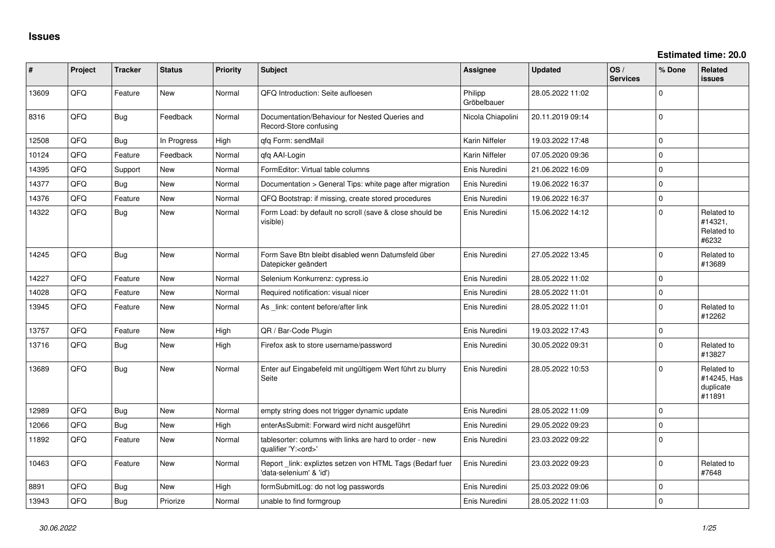| #     | Project | <b>Tracker</b> | <b>Status</b> | <b>Priority</b> | <b>Subject</b>                                                                        | Assignee               | <b>Updated</b>   | OS/<br><b>Services</b> | % Done      | Related<br>issues                                |
|-------|---------|----------------|---------------|-----------------|---------------------------------------------------------------------------------------|------------------------|------------------|------------------------|-------------|--------------------------------------------------|
| 13609 | QFQ     | Feature        | <b>New</b>    | Normal          | QFQ Introduction: Seite aufloesen                                                     | Philipp<br>Gröbelbauer | 28.05.2022 11:02 |                        | $\Omega$    |                                                  |
| 8316  | QFQ     | <b>Bug</b>     | Feedback      | Normal          | Documentation/Behaviour for Nested Queries and<br>Record-Store confusing              | Nicola Chiapolini      | 20.11.2019 09:14 |                        | $\Omega$    |                                                  |
| 12508 | QFQ     | <b>Bug</b>     | In Progress   | High            | gfg Form: sendMail                                                                    | Karin Niffeler         | 19.03.2022 17:48 |                        | $\Omega$    |                                                  |
| 10124 | QFQ     | Feature        | Feedback      | Normal          | qfq AAI-Login                                                                         | Karin Niffeler         | 07.05.2020 09:36 |                        | $\Omega$    |                                                  |
| 14395 | QFQ     | Support        | <b>New</b>    | Normal          | FormEditor: Virtual table columns                                                     | Enis Nuredini          | 21.06.2022 16:09 |                        | $\Omega$    |                                                  |
| 14377 | QFQ     | Bug            | New           | Normal          | Documentation > General Tips: white page after migration                              | Enis Nuredini          | 19.06.2022 16:37 |                        | $\Omega$    |                                                  |
| 14376 | QFQ     | Feature        | New           | Normal          | QFQ Bootstrap: if missing, create stored procedures                                   | Enis Nuredini          | 19.06.2022 16:37 |                        | $\pmb{0}$   |                                                  |
| 14322 | QFQ     | <b>Bug</b>     | New           | Normal          | Form Load: by default no scroll (save & close should be<br>visible)                   | Enis Nuredini          | 15.06.2022 14:12 |                        | $\mathbf 0$ | Related to<br>#14321,<br>Related to<br>#6232     |
| 14245 | QFQ     | <b>Bug</b>     | New           | Normal          | Form Save Btn bleibt disabled wenn Datumsfeld über<br>Datepicker geändert             | Enis Nuredini          | 27.05.2022 13:45 |                        | $\mathbf 0$ | Related to<br>#13689                             |
| 14227 | QFQ     | Feature        | <b>New</b>    | Normal          | Selenium Konkurrenz: cypress.io                                                       | Enis Nuredini          | 28.05.2022 11:02 |                        | $\mathbf 0$ |                                                  |
| 14028 | QFQ     | Feature        | New           | Normal          | Required notification: visual nicer                                                   | Enis Nuredini          | 28.05.2022 11:01 |                        | $\mathbf 0$ |                                                  |
| 13945 | QFQ     | Feature        | New           | Normal          | As link: content before/after link                                                    | Enis Nuredini          | 28.05.2022 11:01 |                        | $\Omega$    | Related to<br>#12262                             |
| 13757 | QFQ     | Feature        | <b>New</b>    | High            | QR / Bar-Code Plugin                                                                  | Enis Nuredini          | 19.03.2022 17:43 |                        | $\mathbf 0$ |                                                  |
| 13716 | QFQ     | Bug            | <b>New</b>    | High            | Firefox ask to store username/password                                                | Enis Nuredini          | 30.05.2022 09:31 |                        | $\Omega$    | Related to<br>#13827                             |
| 13689 | QFQ     | Bug            | New           | Normal          | Enter auf Eingabefeld mit ungültigem Wert führt zu blurry<br>Seite                    | Enis Nuredini          | 28.05.2022 10:53 |                        | $\Omega$    | Related to<br>#14245, Has<br>duplicate<br>#11891 |
| 12989 | QFQ     | Bug            | New           | Normal          | empty string does not trigger dynamic update                                          | Enis Nuredini          | 28.05.2022 11:09 |                        | $\Omega$    |                                                  |
| 12066 | QFQ     | <b>Bug</b>     | <b>New</b>    | High            | enterAsSubmit: Forward wird nicht ausgeführt                                          | Enis Nuredini          | 29.05.2022 09:23 |                        | $\mathbf 0$ |                                                  |
| 11892 | QFQ     | Feature        | New           | Normal          | tablesorter: columns with links are hard to order - new<br>qualifier 'Y: <ord>'</ord> | Enis Nuredini          | 23.03.2022 09:22 |                        | $\Omega$    |                                                  |
| 10463 | QFQ     | Feature        | New           | Normal          | Report_link: expliztes setzen von HTML Tags (Bedarf fuer<br>data-selenium' & 'id')    | Enis Nuredini          | 23.03.2022 09:23 |                        | $\Omega$    | Related to<br>#7648                              |
| 8891  | QFQ     | <b>Bug</b>     | New           | High            | formSubmitLog: do not log passwords                                                   | Enis Nuredini          | 25.03.2022 09:06 |                        | $\pmb{0}$   |                                                  |
| 13943 | QFQ     | <b>Bug</b>     | Priorize      | Normal          | unable to find formgroup                                                              | Enis Nuredini          | 28.05.2022 11:03 |                        | $\mathbf 0$ |                                                  |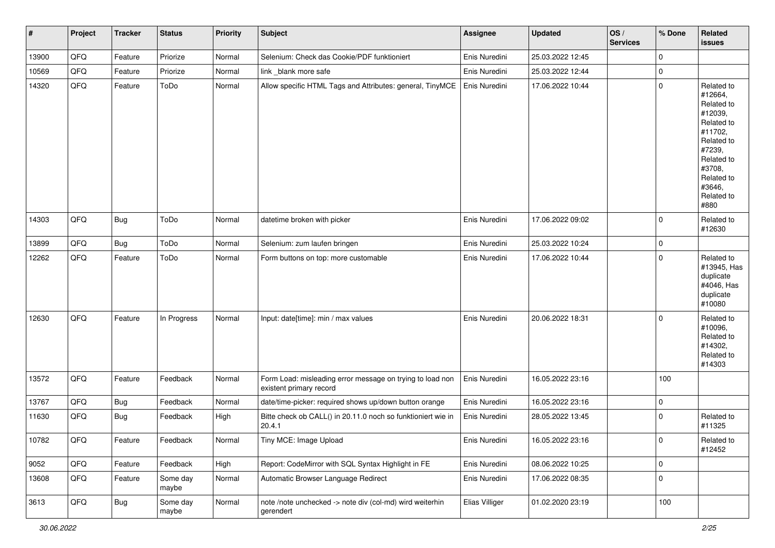| $\pmb{\sharp}$ | Project | <b>Tracker</b> | <b>Status</b>     | <b>Priority</b> | <b>Subject</b>                                                                       | Assignee       | <b>Updated</b>   | OS/<br><b>Services</b> | % Done      | Related<br><b>issues</b>                                                                                                                                              |
|----------------|---------|----------------|-------------------|-----------------|--------------------------------------------------------------------------------------|----------------|------------------|------------------------|-------------|-----------------------------------------------------------------------------------------------------------------------------------------------------------------------|
| 13900          | QFQ     | Feature        | Priorize          | Normal          | Selenium: Check das Cookie/PDF funktioniert                                          | Enis Nuredini  | 25.03.2022 12:45 |                        | $\mathbf 0$ |                                                                                                                                                                       |
| 10569          | QFQ     | Feature        | Priorize          | Normal          | link _blank more safe                                                                | Enis Nuredini  | 25.03.2022 12:44 |                        | $\mathbf 0$ |                                                                                                                                                                       |
| 14320          | QFQ     | Feature        | ToDo              | Normal          | Allow specific HTML Tags and Attributes: general, TinyMCE   Enis Nuredini            |                | 17.06.2022 10:44 |                        | $\mathbf 0$ | Related to<br>#12664,<br>Related to<br>#12039,<br>Related to<br>#11702,<br>Related to<br>#7239,<br>Related to<br>#3708,<br>Related to<br>#3646,<br>Related to<br>#880 |
| 14303          | QFQ     | <b>Bug</b>     | ToDo              | Normal          | datetime broken with picker                                                          | Enis Nuredini  | 17.06.2022 09:02 |                        | $\mathbf 0$ | Related to<br>#12630                                                                                                                                                  |
| 13899          | QFQ     | <b>Bug</b>     | ToDo              | Normal          | Selenium: zum laufen bringen                                                         | Enis Nuredini  | 25.03.2022 10:24 |                        | 0           |                                                                                                                                                                       |
| 12262          | QFQ     | Feature        | ToDo              | Normal          | Form buttons on top: more customable                                                 | Enis Nuredini  | 17.06.2022 10:44 |                        | $\mathbf 0$ | Related to<br>#13945, Has<br>duplicate<br>#4046, Has<br>duplicate<br>#10080                                                                                           |
| 12630          | QFQ     | Feature        | In Progress       | Normal          | Input: date[time]: min / max values                                                  | Enis Nuredini  | 20.06.2022 18:31 |                        | $\mathbf 0$ | Related to<br>#10096,<br>Related to<br>#14302,<br>Related to<br>#14303                                                                                                |
| 13572          | QFQ     | Feature        | Feedback          | Normal          | Form Load: misleading error message on trying to load non<br>existent primary record | Enis Nuredini  | 16.05.2022 23:16 |                        | 100         |                                                                                                                                                                       |
| 13767          | QFQ     | <b>Bug</b>     | Feedback          | Normal          | date/time-picker: required shows up/down button orange                               | Enis Nuredini  | 16.05.2022 23:16 |                        | $\mathbf 0$ |                                                                                                                                                                       |
| 11630          | QFQ     | <b>Bug</b>     | Feedback          | High            | Bitte check ob CALL() in 20.11.0 noch so funktioniert wie in<br>20.4.1               | Enis Nuredini  | 28.05.2022 13:45 |                        | $\mathbf 0$ | Related to<br>#11325                                                                                                                                                  |
| 10782          | QFQ     | Feature        | Feedback          | Normal          | Tiny MCE: Image Upload                                                               | Enis Nuredini  | 16.05.2022 23:16 |                        | 0           | Related to<br>#12452                                                                                                                                                  |
| 9052           | QFQ     | Feature        | Feedback          | High            | Report: CodeMirror with SQL Syntax Highlight in FE                                   | Enis Nuredini  | 08.06.2022 10:25 |                        | $\mathbf 0$ |                                                                                                                                                                       |
| 13608          | QFQ     | Feature        | Some day<br>maybe | Normal          | Automatic Browser Language Redirect                                                  | Enis Nuredini  | 17.06.2022 08:35 |                        | $\mathbf 0$ |                                                                                                                                                                       |
| 3613           | QFQ     | Bug            | Some day<br>maybe | Normal          | note /note unchecked -> note div (col-md) wird weiterhin<br>gerendert                | Elias Villiger | 01.02.2020 23:19 |                        | 100         |                                                                                                                                                                       |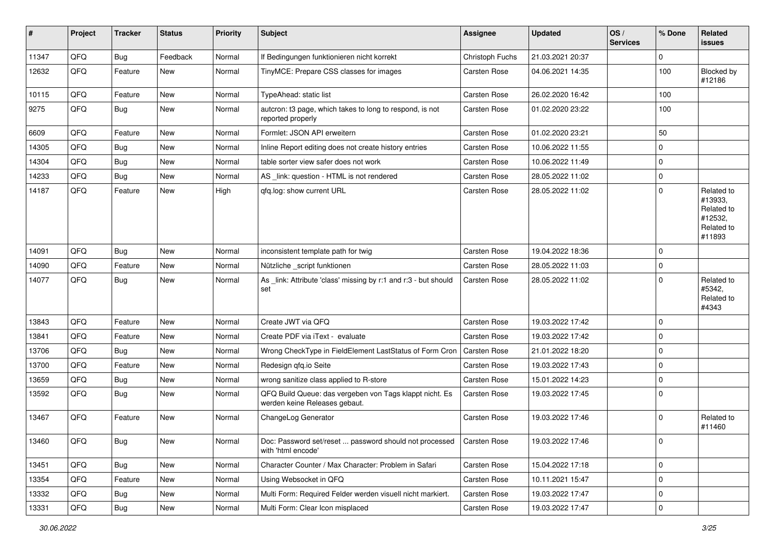| #     | Project | <b>Tracker</b> | <b>Status</b> | <b>Priority</b> | <b>Subject</b>                                                                           | <b>Assignee</b>     | <b>Updated</b>   | OS/<br><b>Services</b> | % Done      | Related<br>issues                                                      |
|-------|---------|----------------|---------------|-----------------|------------------------------------------------------------------------------------------|---------------------|------------------|------------------------|-------------|------------------------------------------------------------------------|
| 11347 | QFQ     | Bug            | Feedback      | Normal          | If Bedingungen funktionieren nicht korrekt                                               | Christoph Fuchs     | 21.03.2021 20:37 |                        | 0           |                                                                        |
| 12632 | QFQ     | Feature        | <b>New</b>    | Normal          | TinyMCE: Prepare CSS classes for images                                                  | Carsten Rose        | 04.06.2021 14:35 |                        | 100         | Blocked by<br>#12186                                                   |
| 10115 | QFQ     | Feature        | <b>New</b>    | Normal          | TypeAhead: static list                                                                   | Carsten Rose        | 26.02.2020 16:42 |                        | 100         |                                                                        |
| 9275  | QFQ     | Bug            | New           | Normal          | autcron: t3 page, which takes to long to respond, is not<br>reported properly            | Carsten Rose        | 01.02.2020 23:22 |                        | 100         |                                                                        |
| 6609  | QFQ     | Feature        | New           | Normal          | Formlet: JSON API erweitern                                                              | Carsten Rose        | 01.02.2020 23:21 |                        | 50          |                                                                        |
| 14305 | QFQ     | Bug            | New           | Normal          | Inline Report editing does not create history entries                                    | Carsten Rose        | 10.06.2022 11:55 |                        | 0           |                                                                        |
| 14304 | QFQ     | <b>Bug</b>     | New           | Normal          | table sorter view safer does not work                                                    | Carsten Rose        | 10.06.2022 11:49 |                        | $\mathbf 0$ |                                                                        |
| 14233 | QFQ     | <b>Bug</b>     | New           | Normal          | AS _link: question - HTML is not rendered                                                | Carsten Rose        | 28.05.2022 11:02 |                        | $\pmb{0}$   |                                                                        |
| 14187 | QFQ     | Feature        | New           | High            | qfq.log: show current URL                                                                | Carsten Rose        | 28.05.2022 11:02 |                        | $\mathbf 0$ | Related to<br>#13933,<br>Related to<br>#12532,<br>Related to<br>#11893 |
| 14091 | QFQ     | Bug            | <b>New</b>    | Normal          | inconsistent template path for twig                                                      | Carsten Rose        | 19.04.2022 18:36 |                        | $\mathbf 0$ |                                                                        |
| 14090 | QFQ     | Feature        | New           | Normal          | Nützliche _script funktionen                                                             | Carsten Rose        | 28.05.2022 11:03 |                        | $\mathbf 0$ |                                                                        |
| 14077 | QFQ     | <b>Bug</b>     | New           | Normal          | As _link: Attribute 'class' missing by r:1 and r:3 - but should<br>set                   | Carsten Rose        | 28.05.2022 11:02 |                        | $\Omega$    | Related to<br>#5342,<br>Related to<br>#4343                            |
| 13843 | QFQ     | Feature        | New           | Normal          | Create JWT via QFQ                                                                       | Carsten Rose        | 19.03.2022 17:42 |                        | $\mathbf 0$ |                                                                        |
| 13841 | QFQ     | Feature        | New           | Normal          | Create PDF via iText - evaluate                                                          | <b>Carsten Rose</b> | 19.03.2022 17:42 |                        | 0           |                                                                        |
| 13706 | QFQ     | <b>Bug</b>     | New           | Normal          | Wrong CheckType in FieldElement LastStatus of Form Cron   Carsten Rose                   |                     | 21.01.2022 18:20 |                        | $\mathbf 0$ |                                                                        |
| 13700 | QFQ     | Feature        | <b>New</b>    | Normal          | Redesign qfq.io Seite                                                                    | Carsten Rose        | 19.03.2022 17:43 |                        | $\mathbf 0$ |                                                                        |
| 13659 | QFQ     | Bug            | New           | Normal          | wrong sanitize class applied to R-store                                                  | Carsten Rose        | 15.01.2022 14:23 |                        | 0           |                                                                        |
| 13592 | QFQ     | <b>Bug</b>     | New           | Normal          | QFQ Build Queue: das vergeben von Tags klappt nicht. Es<br>werden keine Releases gebaut. | Carsten Rose        | 19.03.2022 17:45 |                        | $\Omega$    |                                                                        |
| 13467 | QFQ     | Feature        | New           | Normal          | ChangeLog Generator                                                                      | Carsten Rose        | 19.03.2022 17:46 |                        | 0           | Related to<br>#11460                                                   |
| 13460 | QFQ     | <b>Bug</b>     | New           | Normal          | Doc: Password set/reset  password should not processed<br>with 'html encode'             | Carsten Rose        | 19.03.2022 17:46 |                        | 0           |                                                                        |
| 13451 | QFQ     | Bug            | New           | Normal          | Character Counter / Max Character: Problem in Safari                                     | Carsten Rose        | 15.04.2022 17:18 |                        | $\pmb{0}$   |                                                                        |
| 13354 | QFQ     | Feature        | New           | Normal          | Using Websocket in QFQ                                                                   | Carsten Rose        | 10.11.2021 15:47 |                        | 0           |                                                                        |
| 13332 | QFQ     | Bug            | New           | Normal          | Multi Form: Required Felder werden visuell nicht markiert.                               | Carsten Rose        | 19.03.2022 17:47 |                        | $\pmb{0}$   |                                                                        |
| 13331 | QFQ     | Bug            | New           | Normal          | Multi Form: Clear Icon misplaced                                                         | Carsten Rose        | 19.03.2022 17:47 |                        | $\pmb{0}$   |                                                                        |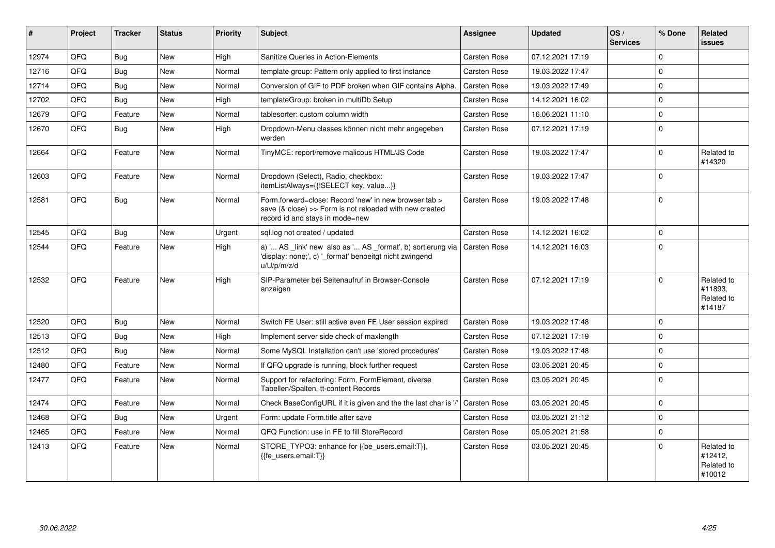| #     | Project | <b>Tracker</b> | <b>Status</b> | <b>Priority</b> | <b>Subject</b>                                                                                                                                      | <b>Assignee</b>     | <b>Updated</b>   | OS/<br><b>Services</b> | % Done      | <b>Related</b><br><b>issues</b>               |
|-------|---------|----------------|---------------|-----------------|-----------------------------------------------------------------------------------------------------------------------------------------------------|---------------------|------------------|------------------------|-------------|-----------------------------------------------|
| 12974 | QFQ     | Bug            | New           | High            | Sanitize Queries in Action-Elements                                                                                                                 | Carsten Rose        | 07.12.2021 17:19 |                        | $\Omega$    |                                               |
| 12716 | QFQ     | Bug            | <b>New</b>    | Normal          | template group: Pattern only applied to first instance                                                                                              | <b>Carsten Rose</b> | 19.03.2022 17:47 |                        | $\Omega$    |                                               |
| 12714 | QFQ     | <b>Bug</b>     | <b>New</b>    | Normal          | Conversion of GIF to PDF broken when GIF contains Alpha.                                                                                            | Carsten Rose        | 19.03.2022 17:49 |                        | $\Omega$    |                                               |
| 12702 | QFQ     | Bug            | <b>New</b>    | High            | templateGroup: broken in multiDb Setup                                                                                                              | Carsten Rose        | 14.12.2021 16:02 |                        | $\mathbf 0$ |                                               |
| 12679 | QFQ     | Feature        | <b>New</b>    | Normal          | tablesorter: custom column width                                                                                                                    | Carsten Rose        | 16.06.2021 11:10 |                        | $\mathbf 0$ |                                               |
| 12670 | QFQ     | Bug            | <b>New</b>    | High            | Dropdown-Menu classes können nicht mehr angegeben<br>werden                                                                                         | Carsten Rose        | 07.12.2021 17:19 |                        | $\mathbf 0$ |                                               |
| 12664 | QFQ     | Feature        | <b>New</b>    | Normal          | TinyMCE: report/remove malicous HTML/JS Code                                                                                                        | Carsten Rose        | 19.03.2022 17:47 |                        | $\Omega$    | Related to<br>#14320                          |
| 12603 | QFQ     | Feature        | <b>New</b>    | Normal          | Dropdown (Select), Radio, checkbox:<br>itemListAlways={{!SELECT key, value}}                                                                        | Carsten Rose        | 19.03.2022 17:47 |                        | $\mathbf 0$ |                                               |
| 12581 | QFQ     | Bug            | New           | Normal          | Form.forward=close: Record 'new' in new browser tab ><br>save (& close) >> Form is not reloaded with new created<br>record id and stays in mode=new | Carsten Rose        | 19.03.2022 17:48 |                        | $\Omega$    |                                               |
| 12545 | QFQ     | Bug            | <b>New</b>    | Urgent          | sgl.log not created / updated                                                                                                                       | Carsten Rose        | 14.12.2021 16:02 |                        | $\Omega$    |                                               |
| 12544 | QFQ     | Feature        | <b>New</b>    | High            | a) ' AS _link' new also as ' AS _format', b) sortierung via<br>'display: none;', c) '_format' benoeitgt nicht zwingend<br>u/U/p/m/z/d               | Carsten Rose        | 14.12.2021 16:03 |                        | $\Omega$    |                                               |
| 12532 | QFQ     | Feature        | New           | High            | SIP-Parameter bei Seitenaufruf in Browser-Console<br>anzeigen                                                                                       | <b>Carsten Rose</b> | 07.12.2021 17:19 |                        | $\Omega$    | Related to<br>#11893.<br>Related to<br>#14187 |
| 12520 | QFQ     | Bug            | <b>New</b>    | Normal          | Switch FE User: still active even FE User session expired                                                                                           | Carsten Rose        | 19.03.2022 17:48 |                        | $\mathbf 0$ |                                               |
| 12513 | QFQ     | <b>Bug</b>     | <b>New</b>    | High            | Implement server side check of maxlength                                                                                                            | Carsten Rose        | 07.12.2021 17:19 |                        | $\mathbf 0$ |                                               |
| 12512 | QFQ     | <b>Bug</b>     | <b>New</b>    | Normal          | Some MySQL Installation can't use 'stored procedures'                                                                                               | Carsten Rose        | 19.03.2022 17:48 |                        | $\Omega$    |                                               |
| 12480 | QFQ     | Feature        | <b>New</b>    | Normal          | If QFQ upgrade is running, block further request                                                                                                    | Carsten Rose        | 03.05.2021 20:45 |                        | $\Omega$    |                                               |
| 12477 | QFQ     | Feature        | New           | Normal          | Support for refactoring: Form, FormElement, diverse<br>Tabellen/Spalten, tt-content Records                                                         | Carsten Rose        | 03.05.2021 20:45 |                        | $\Omega$    |                                               |
| 12474 | QFQ     | Feature        | <b>New</b>    | Normal          | Check BaseConfigURL if it is given and the the last char is '                                                                                       | Carsten Rose        | 03.05.2021 20:45 |                        | $\mathbf 0$ |                                               |
| 12468 | QFQ     | <b>Bug</b>     | <b>New</b>    | Urgent          | Form: update Form.title after save                                                                                                                  | Carsten Rose        | 03.05.2021 21:12 |                        | $\mathbf 0$ |                                               |
| 12465 | QFQ     | Feature        | <b>New</b>    | Normal          | QFQ Function: use in FE to fill StoreRecord                                                                                                         | Carsten Rose        | 05.05.2021 21:58 |                        | $\mathbf 0$ |                                               |
| 12413 | QFQ     | Feature        | New           | Normal          | STORE_TYPO3: enhance for {{be_users.email:T}},<br>{{fe_users.email:T}}                                                                              | Carsten Rose        | 03.05.2021 20:45 |                        | $\Omega$    | Related to<br>#12412,<br>Related to<br>#10012 |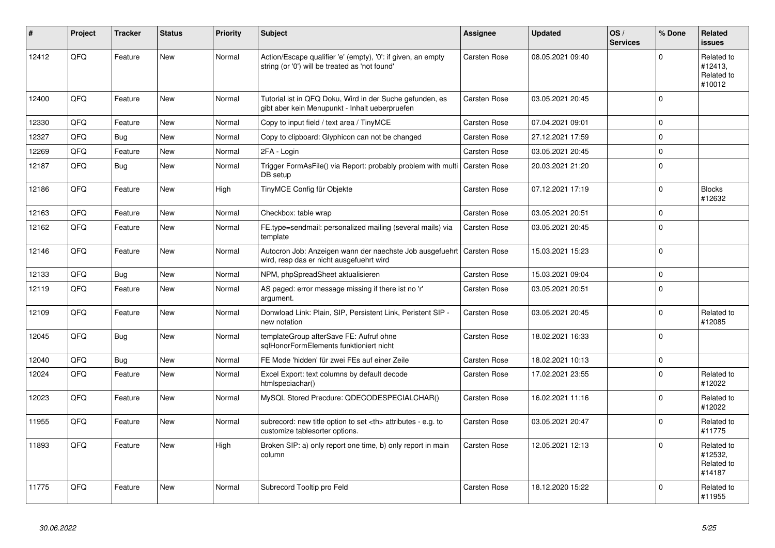| #     | Project | <b>Tracker</b> | <b>Status</b> | <b>Priority</b> | <b>Subject</b>                                                                                                 | <b>Assignee</b>                                        | <b>Updated</b>      | OS/<br><b>Services</b> | % Done       | Related<br><b>issues</b>                      |                      |
|-------|---------|----------------|---------------|-----------------|----------------------------------------------------------------------------------------------------------------|--------------------------------------------------------|---------------------|------------------------|--------------|-----------------------------------------------|----------------------|
| 12412 | QFQ     | Feature        | <b>New</b>    | Normal          | Action/Escape qualifier 'e' (empty), '0': if given, an empty<br>string (or '0') will be treated as 'not found' | <b>Carsten Rose</b>                                    | 08.05.2021 09:40    |                        | $\Omega$     | Related to<br>#12413,<br>Related to<br>#10012 |                      |
| 12400 | QFQ     | Feature        | New           | Normal          | Tutorial ist in QFQ Doku, Wird in der Suche gefunden, es<br>gibt aber kein Menupunkt - Inhalt ueberpruefen     | <b>Carsten Rose</b>                                    | 03.05.2021 20:45    |                        | $\Omega$     |                                               |                      |
| 12330 | QFQ     | Feature        | New           | Normal          | Copy to input field / text area / TinyMCE                                                                      | <b>Carsten Rose</b>                                    | 07.04.2021 09:01    |                        | $\mathbf{0}$ |                                               |                      |
| 12327 | QFQ     | Bug            | New           | Normal          | Copy to clipboard: Glyphicon can not be changed                                                                | Carsten Rose                                           | 27.12.2021 17:59    |                        | $\pmb{0}$    |                                               |                      |
| 12269 | QFQ     | Feature        | New           | Normal          | 2FA - Login                                                                                                    | <b>Carsten Rose</b>                                    | 03.05.2021 20:45    |                        | $\mathbf 0$  |                                               |                      |
| 12187 | QFQ     | Bug            | New           | Normal          | Trigger FormAsFile() via Report: probably problem with multi<br>DB setup                                       | <b>Carsten Rose</b>                                    | 20.03.2021 21:20    |                        | $\mathbf{0}$ |                                               |                      |
| 12186 | QFQ     | Feature        | New           | High            | TinyMCE Config für Objekte                                                                                     | <b>Carsten Rose</b>                                    | 07.12.2021 17:19    |                        | $\mathbf 0$  | <b>Blocks</b><br>#12632                       |                      |
| 12163 | QFQ     | Feature        | <b>New</b>    | Normal          | Checkbox: table wrap                                                                                           | <b>Carsten Rose</b>                                    | 03.05.2021 20:51    |                        | $\mathbf 0$  |                                               |                      |
| 12162 | QFQ     | Feature        | New           | Normal          | FE.type=sendmail: personalized mailing (several mails) via<br>template                                         | <b>Carsten Rose</b>                                    | 03.05.2021 20:45    |                        | $\Omega$     |                                               |                      |
| 12146 | QFQ     | Feature        | New           | Normal          | Autocron Job: Anzeigen wann der naechste Job ausgefuehrt<br>wird, resp das er nicht ausgefuehrt wird           | <b>Carsten Rose</b>                                    | 15.03.2021 15:23    |                        | $\mathbf{0}$ |                                               |                      |
| 12133 | QFQ     | <b>Bug</b>     | <b>New</b>    | Normal          | NPM, phpSpreadSheet aktualisieren                                                                              | <b>Carsten Rose</b>                                    | 15.03.2021 09:04    |                        | $\Omega$     |                                               |                      |
| 12119 | QFQ     | Feature        | New           | Normal          | AS paged: error message missing if there ist no 'r'<br>argument.                                               | <b>Carsten Rose</b>                                    | 03.05.2021 20:51    |                        | $\mathbf{0}$ |                                               |                      |
| 12109 | QFQ     | Feature        | New           | Normal          | Donwload Link: Plain, SIP, Persistent Link, Peristent SIP -<br>new notation                                    | <b>Carsten Rose</b>                                    | 03.05.2021 20:45    |                        | $\Omega$     | Related to<br>#12085                          |                      |
| 12045 | QFQ     | <b>Bug</b>     | New           | Normal          | templateGroup afterSave FE: Aufruf ohne<br>sqlHonorFormElements funktioniert nicht                             | <b>Carsten Rose</b>                                    | 18.02.2021 16:33    |                        | $\Omega$     |                                               |                      |
| 12040 | QFQ     | Bug            | New           | Normal          | FE Mode 'hidden' für zwei FEs auf einer Zeile                                                                  | <b>Carsten Rose</b>                                    | 18.02.2021 10:13    |                        | 0            |                                               |                      |
| 12024 | QFQ     | Feature        | New           | Normal          | Excel Export: text columns by default decode<br>htmlspeciachar()                                               | <b>Carsten Rose</b>                                    | 17.02.2021 23:55    |                        | $\Omega$     | Related to<br>#12022                          |                      |
| 12023 | QFQ     | Feature        | <b>New</b>    | Normal          | MySQL Stored Precdure: QDECODESPECIALCHAR()                                                                    | <b>Carsten Rose</b>                                    | 16.02.2021 11:16    |                        | $\Omega$     | Related to<br>#12022                          |                      |
| 11955 | QFQ     | Feature        | <b>New</b>    | Normal          | subrecord: new title option to set <th> attributes - e.g. to<br/>customize tablesorter options.</th>           | attributes - e.g. to<br>customize tablesorter options. | <b>Carsten Rose</b> | 03.05.2021 20:47       |              | $\Omega$                                      | Related to<br>#11775 |
| 11893 | QFQ     | Feature        | New           | High            | Broken SIP: a) only report one time, b) only report in main<br>column                                          | <b>Carsten Rose</b>                                    | 12.05.2021 12:13    |                        | $\mathbf 0$  | Related to<br>#12532,<br>Related to<br>#14187 |                      |
| 11775 | QFQ     | Feature        | <b>New</b>    | Normal          | Subrecord Tooltip pro Feld                                                                                     | <b>Carsten Rose</b>                                    | 18.12.2020 15:22    |                        | $\Omega$     | Related to<br>#11955                          |                      |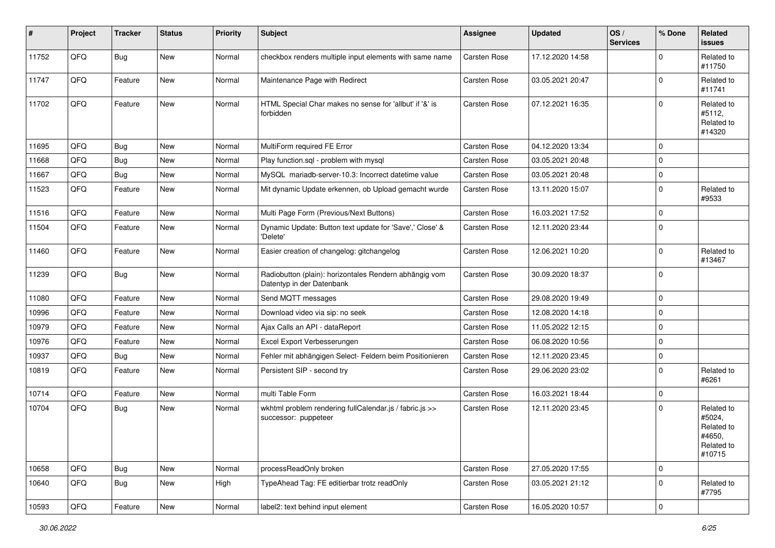| #     | Project | <b>Tracker</b> | <b>Status</b> | <b>Priority</b> | <b>Subject</b>                                                                      | <b>Assignee</b>     | <b>Updated</b>   | OS/<br><b>Services</b> | % Done              | <b>Related</b><br><b>issues</b>                                      |
|-------|---------|----------------|---------------|-----------------|-------------------------------------------------------------------------------------|---------------------|------------------|------------------------|---------------------|----------------------------------------------------------------------|
| 11752 | QFQ     | <b>Bug</b>     | New           | Normal          | checkbox renders multiple input elements with same name                             | Carsten Rose        | 17.12.2020 14:58 |                        | $\Omega$            | Related to<br>#11750                                                 |
| 11747 | QFQ     | Feature        | New           | Normal          | Maintenance Page with Redirect                                                      | Carsten Rose        | 03.05.2021 20:47 |                        | $\Omega$            | Related to<br>#11741                                                 |
| 11702 | QFQ     | Feature        | <b>New</b>    | Normal          | HTML Special Char makes no sense for 'allbut' if '&' is<br>forbidden                | <b>Carsten Rose</b> | 07.12.2021 16:35 |                        | $\Omega$            | Related to<br>#5112,<br>Related to<br>#14320                         |
| 11695 | QFQ     | <b>Bug</b>     | <b>New</b>    | Normal          | MultiForm required FE Error                                                         | Carsten Rose        | 04.12.2020 13:34 |                        | $\Omega$            |                                                                      |
| 11668 | QFQ     | <b>Bug</b>     | New           | Normal          | Play function.sql - problem with mysql                                              | Carsten Rose        | 03.05.2021 20:48 |                        | $\mathbf 0$         |                                                                      |
| 11667 | QFQ     | <b>Bug</b>     | New           | Normal          | MySQL mariadb-server-10.3: Incorrect datetime value                                 | Carsten Rose        | 03.05.2021 20:48 |                        | $\mathbf 0$         |                                                                      |
| 11523 | QFQ     | Feature        | New           | Normal          | Mit dynamic Update erkennen, ob Upload gemacht wurde                                | Carsten Rose        | 13.11.2020 15:07 |                        | $\mathbf 0$         | Related to<br>#9533                                                  |
| 11516 | QFQ     | Feature        | New           | Normal          | Multi Page Form (Previous/Next Buttons)                                             | Carsten Rose        | 16.03.2021 17:52 |                        | $\mathbf 0$         |                                                                      |
| 11504 | QFQ     | Feature        | New           | Normal          | Dynamic Update: Button text update for 'Save',' Close' &<br>'Delete'                | Carsten Rose        | 12.11.2020 23:44 |                        | $\mathbf 0$         |                                                                      |
| 11460 | QFQ     | Feature        | <b>New</b>    | Normal          | Easier creation of changelog: gitchangelog                                          | Carsten Rose        | 12.06.2021 10:20 |                        | $\mathbf 0$         | Related to<br>#13467                                                 |
| 11239 | QFQ     | <b>Bug</b>     | <b>New</b>    | Normal          | Radiobutton (plain): horizontales Rendern abhängig vom<br>Datentyp in der Datenbank | Carsten Rose        | 30.09.2020 18:37 |                        | $\mathbf 0$         |                                                                      |
| 11080 | QFQ     | Feature        | New           | Normal          | Send MQTT messages                                                                  | Carsten Rose        | 29.08.2020 19:49 |                        | $\mathbf 0$         |                                                                      |
| 10996 | QFQ     | Feature        | New           | Normal          | Download video via sip: no seek                                                     | Carsten Rose        | 12.08.2020 14:18 |                        | $\mathbf 0$         |                                                                      |
| 10979 | QFQ     | Feature        | New           | Normal          | Ajax Calls an API - dataReport                                                      | Carsten Rose        | 11.05.2022 12:15 |                        | $\mathbf 0$         |                                                                      |
| 10976 | QFQ     | Feature        | New           | Normal          | Excel Export Verbesserungen                                                         | Carsten Rose        | 06.08.2020 10:56 |                        | $\mathbf 0$         |                                                                      |
| 10937 | QFQ     | <b>Bug</b>     | <b>New</b>    | Normal          | Fehler mit abhängigen Select- Feldern beim Positionieren                            | Carsten Rose        | 12.11.2020 23:45 |                        | $\mathbf 0$         |                                                                      |
| 10819 | QFQ     | Feature        | New           | Normal          | Persistent SIP - second try                                                         | Carsten Rose        | 29.06.2020 23:02 |                        | $\mathbf 0$         | Related to<br>#6261                                                  |
| 10714 | QFQ     | Feature        | New           | Normal          | multi Table Form                                                                    | Carsten Rose        | 16.03.2021 18:44 |                        | $\mathbf 0$         |                                                                      |
| 10704 | QFQ     | <b>Bug</b>     | New           | Normal          | wkhtml problem rendering fullCalendar.js / fabric.js >><br>successor: puppeteer     | Carsten Rose        | 12.11.2020 23:45 |                        | $\Omega$            | Related to<br>#5024,<br>Related to<br>#4650,<br>Related to<br>#10715 |
| 10658 | QFQ     | <b>Bug</b>     | New           | Normal          | processReadOnly broken                                                              | <b>Carsten Rose</b> | 27.05.2020 17:55 |                        | $\mathbf 0$         |                                                                      |
| 10640 | QFQ     | Bug            | New           | High            | TypeAhead Tag: FE editierbar trotz readOnly                                         | Carsten Rose        | 03.05.2021 21:12 |                        | $\mathbf 0$         | Related to<br>#7795                                                  |
| 10593 | QFQ     | Feature        | New           | Normal          | label2: text behind input element                                                   | Carsten Rose        | 16.05.2020 10:57 |                        | $\mathsf{O}\xspace$ |                                                                      |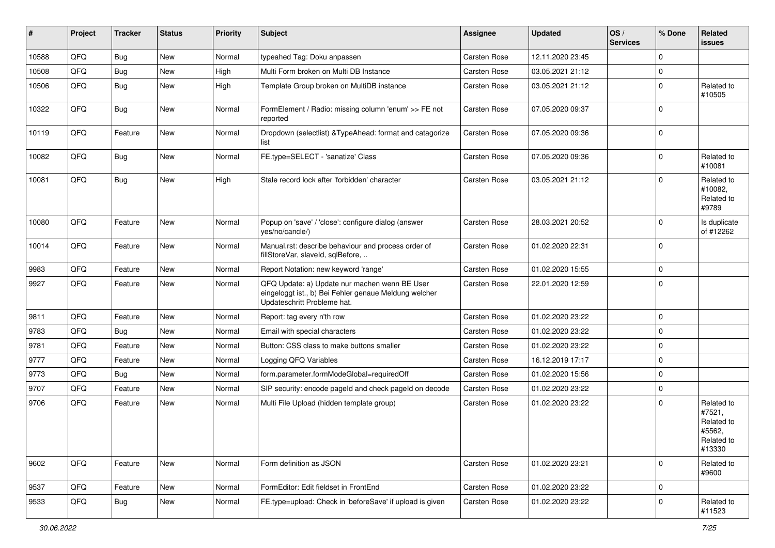| #     | Project | <b>Tracker</b> | <b>Status</b> | <b>Priority</b> | <b>Subject</b>                                                                                                                        | <b>Assignee</b>     | <b>Updated</b>   | OS/<br><b>Services</b> | % Done       | Related<br><b>issues</b>                                             |
|-------|---------|----------------|---------------|-----------------|---------------------------------------------------------------------------------------------------------------------------------------|---------------------|------------------|------------------------|--------------|----------------------------------------------------------------------|
| 10588 | QFQ     | Bug            | New           | Normal          | typeahed Tag: Doku anpassen                                                                                                           | <b>Carsten Rose</b> | 12.11.2020 23:45 |                        | $\Omega$     |                                                                      |
| 10508 | QFQ     | <b>Bug</b>     | New           | High            | Multi Form broken on Multi DB Instance                                                                                                | <b>Carsten Rose</b> | 03.05.2021 21:12 |                        | 0            |                                                                      |
| 10506 | QFQ     | <b>Bug</b>     | New           | High            | Template Group broken on MultiDB instance                                                                                             | Carsten Rose        | 03.05.2021 21:12 |                        | $\mathbf 0$  | Related to<br>#10505                                                 |
| 10322 | QFQ     | <b>Bug</b>     | New           | Normal          | FormElement / Radio: missing column 'enum' >> FE not<br>reported                                                                      | <b>Carsten Rose</b> | 07.05.2020 09:37 |                        | $\mathbf 0$  |                                                                      |
| 10119 | QFQ     | Feature        | New           | Normal          | Dropdown (selectlist) & TypeAhead: format and catagorize<br>list                                                                      | <b>Carsten Rose</b> | 07.05.2020 09:36 |                        | $\mathbf 0$  |                                                                      |
| 10082 | QFQ     | Bug            | <b>New</b>    | Normal          | FE.type=SELECT - 'sanatize' Class                                                                                                     | Carsten Rose        | 07.05.2020 09:36 |                        | $\mathbf 0$  | Related to<br>#10081                                                 |
| 10081 | QFQ     | Bug            | <b>New</b>    | High            | Stale record lock after 'forbidden' character                                                                                         | <b>Carsten Rose</b> | 03.05.2021 21:12 |                        | $\Omega$     | Related to<br>#10082.<br>Related to<br>#9789                         |
| 10080 | QFQ     | Feature        | New           | Normal          | Popup on 'save' / 'close': configure dialog (answer<br>yes/no/cancle/)                                                                | <b>Carsten Rose</b> | 28.03.2021 20:52 |                        | $\mathbf 0$  | Is duplicate<br>of #12262                                            |
| 10014 | QFQ     | Feature        | New           | Normal          | Manual.rst: describe behaviour and process order of<br>fillStoreVar, slaveId, sqlBefore,                                              | <b>Carsten Rose</b> | 01.02.2020 22:31 |                        | $\mathbf 0$  |                                                                      |
| 9983  | QFQ     | Feature        | <b>New</b>    | Normal          | Report Notation: new keyword 'range'                                                                                                  | <b>Carsten Rose</b> | 01.02.2020 15:55 |                        | $\mathbf 0$  |                                                                      |
| 9927  | QFQ     | Feature        | New           | Normal          | QFQ Update: a) Update nur machen wenn BE User<br>eingeloggt ist., b) Bei Fehler genaue Meldung welcher<br>Updateschritt Probleme hat. | <b>Carsten Rose</b> | 22.01.2020 12:59 |                        | $\mathbf 0$  |                                                                      |
| 9811  | QFQ     | Feature        | New           | Normal          | Report: tag every n'th row                                                                                                            | Carsten Rose        | 01.02.2020 23:22 |                        | $\mathbf{0}$ |                                                                      |
| 9783  | QFQ     | Bug            | New           | Normal          | Email with special characters                                                                                                         | Carsten Rose        | 01.02.2020 23:22 |                        | 0            |                                                                      |
| 9781  | QFQ     | Feature        | New           | Normal          | Button: CSS class to make buttons smaller                                                                                             | Carsten Rose        | 01.02.2020 23:22 |                        | $\mathbf 0$  |                                                                      |
| 9777  | QFQ     | Feature        | New           | Normal          | Logging QFQ Variables                                                                                                                 | Carsten Rose        | 16.12.2019 17:17 |                        | $\mathbf 0$  |                                                                      |
| 9773  | QFQ     | <b>Bug</b>     | New           | Normal          | form.parameter.formModeGlobal=requiredOff                                                                                             | <b>Carsten Rose</b> | 01.02.2020 15:56 |                        | $\mathbf 0$  |                                                                      |
| 9707  | QFQ     | Feature        | New           | Normal          | SIP security: encode pageld and check pageld on decode                                                                                | <b>Carsten Rose</b> | 01.02.2020 23:22 |                        | 0            |                                                                      |
| 9706  | QFQ     | Feature        | New           | Normal          | Multi File Upload (hidden template group)                                                                                             | Carsten Rose        | 01.02.2020 23:22 |                        | $\Omega$     | Related to<br>#7521,<br>Related to<br>#5562,<br>Related to<br>#13330 |
| 9602  | QFQ     | Feature        | New           | Normal          | Form definition as JSON                                                                                                               | Carsten Rose        | 01.02.2020 23:21 |                        | $\mathbf 0$  | Related to<br>#9600                                                  |
| 9537  | QFQ     | Feature        | New           | Normal          | FormEditor: Edit fieldset in FrontEnd                                                                                                 | Carsten Rose        | 01.02.2020 23:22 |                        | $\mathbf 0$  |                                                                      |
| 9533  | QFQ     | <b>Bug</b>     | New           | Normal          | FE.type=upload: Check in 'beforeSave' if upload is given                                                                              | Carsten Rose        | 01.02.2020 23:22 |                        | 0            | Related to<br>#11523                                                 |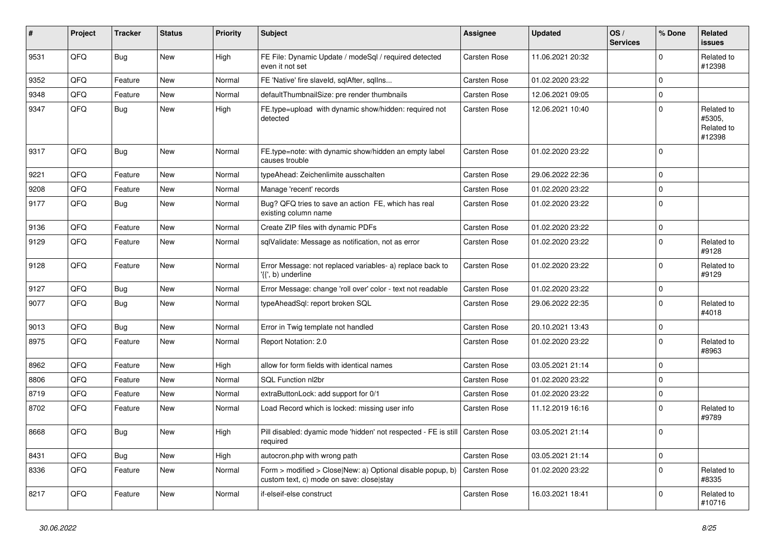| #    | Project | <b>Tracker</b> | <b>Status</b> | <b>Priority</b> | <b>Subject</b>                                                                                             | Assignee            | <b>Updated</b>   | OS/<br><b>Services</b> | % Done      | <b>Related</b><br><b>issues</b>              |
|------|---------|----------------|---------------|-----------------|------------------------------------------------------------------------------------------------------------|---------------------|------------------|------------------------|-------------|----------------------------------------------|
| 9531 | QFQ     | <b>Bug</b>     | <b>New</b>    | High            | FE File: Dynamic Update / modeSql / required detected<br>even it not set                                   | Carsten Rose        | 11.06.2021 20:32 |                        | $\Omega$    | Related to<br>#12398                         |
| 9352 | QFQ     | Feature        | <b>New</b>    | Normal          | FE 'Native' fire slaveld, sqlAfter, sqllns                                                                 | Carsten Rose        | 01.02.2020 23:22 |                        | 0           |                                              |
| 9348 | QFQ     | Feature        | <b>New</b>    | Normal          | defaultThumbnailSize: pre render thumbnails                                                                | Carsten Rose        | 12.06.2021 09:05 |                        | $\Omega$    |                                              |
| 9347 | QFQ     | <b>Bug</b>     | New           | High            | FE.type=upload with dynamic show/hidden: required not<br>detected                                          | Carsten Rose        | 12.06.2021 10:40 |                        | $\Omega$    | Related to<br>#5305,<br>Related to<br>#12398 |
| 9317 | QFQ     | Bug            | <b>New</b>    | Normal          | FE.type=note: with dynamic show/hidden an empty label<br>causes trouble                                    | Carsten Rose        | 01.02.2020 23:22 |                        | $\mathbf 0$ |                                              |
| 9221 | QFQ     | Feature        | New           | Normal          | typeAhead: Zeichenlimite ausschalten                                                                       | Carsten Rose        | 29.06.2022 22:36 |                        | $\Omega$    |                                              |
| 9208 | QFQ     | Feature        | <b>New</b>    | Normal          | Manage 'recent' records                                                                                    | Carsten Rose        | 01.02.2020 23:22 |                        | $\Omega$    |                                              |
| 9177 | QFQ     | <b>Bug</b>     | <b>New</b>    | Normal          | Bug? QFQ tries to save an action FE, which has real<br>existing column name                                | Carsten Rose        | 01.02.2020 23:22 |                        | $\Omega$    |                                              |
| 9136 | QFQ     | Feature        | <b>New</b>    | Normal          | Create ZIP files with dynamic PDFs                                                                         | Carsten Rose        | 01.02.2020 23:22 |                        | $\mathbf 0$ |                                              |
| 9129 | QFQ     | Feature        | <b>New</b>    | Normal          | sqlValidate: Message as notification, not as error                                                         | <b>Carsten Rose</b> | 01.02.2020 23:22 |                        | $\mathbf 0$ | Related to<br>#9128                          |
| 9128 | QFQ     | Feature        | New           | Normal          | Error Message: not replaced variables- a) replace back to<br>'{{', b) underline                            | Carsten Rose        | 01.02.2020 23:22 |                        | $\Omega$    | Related to<br>#9129                          |
| 9127 | QFQ     | <b>Bug</b>     | <b>New</b>    | Normal          | Error Message: change 'roll over' color - text not readable                                                | Carsten Rose        | 01.02.2020 23:22 |                        | $\Omega$    |                                              |
| 9077 | QFQ     | <b>Bug</b>     | New           | Normal          | typeAheadSql: report broken SQL                                                                            | Carsten Rose        | 29.06.2022 22:35 |                        | $\Omega$    | Related to<br>#4018                          |
| 9013 | QFQ     | <b>Bug</b>     | <b>New</b>    | Normal          | Error in Twig template not handled                                                                         | Carsten Rose        | 20.10.2021 13:43 |                        | $\mathbf 0$ |                                              |
| 8975 | QFQ     | Feature        | <b>New</b>    | Normal          | Report Notation: 2.0                                                                                       | Carsten Rose        | 01.02.2020 23:22 |                        | $\Omega$    | Related to<br>#8963                          |
| 8962 | QFQ     | Feature        | <b>New</b>    | High            | allow for form fields with identical names                                                                 | Carsten Rose        | 03.05.2021 21:14 |                        | $\mathbf 0$ |                                              |
| 8806 | QFQ     | Feature        | <b>New</b>    | Normal          | SQL Function nl2br                                                                                         | Carsten Rose        | 01.02.2020 23:22 |                        | $\mathbf 0$ |                                              |
| 8719 | QFQ     | Feature        | <b>New</b>    | Normal          | extraButtonLock: add support for 0/1                                                                       | Carsten Rose        | 01.02.2020 23:22 |                        | $\mathbf 0$ |                                              |
| 8702 | QFQ     | Feature        | <b>New</b>    | Normal          | Load Record which is locked: missing user info                                                             | Carsten Rose        | 11.12.2019 16:16 |                        | $\mathbf 0$ | Related to<br>#9789                          |
| 8668 | QFQ     | <b>Bug</b>     | <b>New</b>    | High            | Pill disabled: dyamic mode 'hidden' not respected - FE is still<br>reauired                                | <b>Carsten Rose</b> | 03.05.2021 21:14 |                        | $\Omega$    |                                              |
| 8431 | QFQ     | <b>Bug</b>     | <b>New</b>    | High            | autocron.php with wrong path                                                                               | Carsten Rose        | 03.05.2021 21:14 |                        | $\mathbf 0$ |                                              |
| 8336 | QFQ     | Feature        | New           | Normal          | Form $>$ modified $>$ Close New: a) Optional disable popup, b)<br>custom text, c) mode on save: close stay | <b>Carsten Rose</b> | 01.02.2020 23:22 |                        | $\Omega$    | Related to<br>#8335                          |
| 8217 | QFQ     | Feature        | New           | Normal          | if-elseif-else construct                                                                                   | <b>Carsten Rose</b> | 16.03.2021 18:41 |                        | $\Omega$    | Related to<br>#10716                         |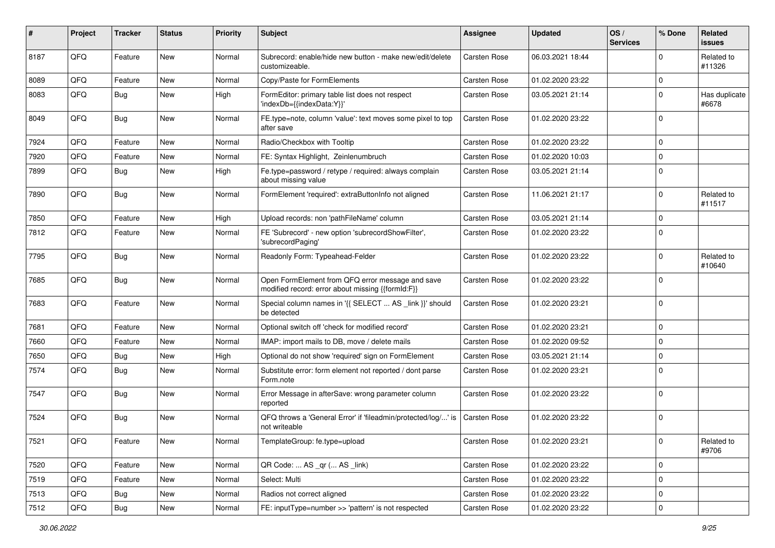| #    | Project | <b>Tracker</b> | <b>Status</b> | <b>Priority</b> | <b>Subject</b>                                                                                        | <b>Assignee</b> | <b>Updated</b>   | OS/<br><b>Services</b> | % Done      | Related<br><b>issues</b> |
|------|---------|----------------|---------------|-----------------|-------------------------------------------------------------------------------------------------------|-----------------|------------------|------------------------|-------------|--------------------------|
| 8187 | QFQ     | Feature        | New           | Normal          | Subrecord: enable/hide new button - make new/edit/delete<br>customizeable.                            | Carsten Rose    | 06.03.2021 18:44 |                        | $\Omega$    | Related to<br>#11326     |
| 8089 | QFQ     | Feature        | New           | Normal          | Copy/Paste for FormElements                                                                           | Carsten Rose    | 01.02.2020 23:22 |                        | $\Omega$    |                          |
| 8083 | QFQ     | Bug            | New           | High            | FormEditor: primary table list does not respect<br>'indexDb={{indexData:Y}}'                          | Carsten Rose    | 03.05.2021 21:14 |                        | $\Omega$    | Has duplicate<br>#6678   |
| 8049 | QFQ     | Bug            | New           | Normal          | FE.type=note, column 'value': text moves some pixel to top<br>after save                              | Carsten Rose    | 01.02.2020 23:22 |                        | $\Omega$    |                          |
| 7924 | QFQ     | Feature        | New           | Normal          | Radio/Checkbox with Tooltip                                                                           | Carsten Rose    | 01.02.2020 23:22 |                        | $\Omega$    |                          |
| 7920 | QFQ     | Feature        | New           | Normal          | FE: Syntax Highlight, Zeinlenumbruch                                                                  | Carsten Rose    | 01.02.2020 10:03 |                        | $\Omega$    |                          |
| 7899 | QFQ     | <b>Bug</b>     | New           | High            | Fe.type=password / retype / required: always complain<br>about missing value                          | Carsten Rose    | 03.05.2021 21:14 |                        | $\Omega$    |                          |
| 7890 | QFQ     | Bug            | New           | Normal          | FormElement 'required': extraButtonInfo not aligned                                                   | Carsten Rose    | 11.06.2021 21:17 |                        | $\Omega$    | Related to<br>#11517     |
| 7850 | QFQ     | Feature        | New           | High            | Upload records: non 'pathFileName' column                                                             | Carsten Rose    | 03.05.2021 21:14 |                        | $\mathbf 0$ |                          |
| 7812 | QFQ     | Feature        | <b>New</b>    | Normal          | FE 'Subrecord' - new option 'subrecordShowFilter',<br>'subrecordPaging'                               | Carsten Rose    | 01.02.2020 23:22 |                        | $\Omega$    |                          |
| 7795 | QFQ     | Bug            | New           | Normal          | Readonly Form: Typeahead-Felder                                                                       | Carsten Rose    | 01.02.2020 23:22 |                        | $\Omega$    | Related to<br>#10640     |
| 7685 | QFQ     | Bug            | New           | Normal          | Open FormElement from QFQ error message and save<br>modified record: error about missing {{formId:F}} | Carsten Rose    | 01.02.2020 23:22 |                        | $\Omega$    |                          |
| 7683 | QFQ     | Feature        | New           | Normal          | Special column names in '{{ SELECT  AS _link }}' should<br>be detected                                | Carsten Rose    | 01.02.2020 23:21 |                        | $\Omega$    |                          |
| 7681 | QFQ     | Feature        | New           | Normal          | Optional switch off 'check for modified record'                                                       | Carsten Rose    | 01.02.2020 23:21 |                        | $\mathbf 0$ |                          |
| 7660 | QFQ     | Feature        | New           | Normal          | IMAP: import mails to DB, move / delete mails                                                         | Carsten Rose    | 01.02.2020 09:52 |                        | $\mathbf 0$ |                          |
| 7650 | QFQ     | <b>Bug</b>     | New           | High            | Optional do not show 'required' sign on FormElement                                                   | Carsten Rose    | 03.05.2021 21:14 |                        | $\Omega$    |                          |
| 7574 | QFQ     | Bug            | New           | Normal          | Substitute error: form element not reported / dont parse<br>Form.note                                 | Carsten Rose    | 01.02.2020 23:21 |                        | $\Omega$    |                          |
| 7547 | QFQ     | <b>Bug</b>     | New           | Normal          | Error Message in afterSave: wrong parameter column<br>reported                                        | Carsten Rose    | 01.02.2020 23:22 |                        | $\Omega$    |                          |
| 7524 | QFQ     | Bug            | New           | Normal          | QFQ throws a 'General Error' if 'fileadmin/protected/log/' is<br>not writeable                        | Carsten Rose    | 01.02.2020 23:22 |                        | $\Omega$    |                          |
| 7521 | QFQ     | Feature        | New           | Normal          | TemplateGroup: fe.type=upload                                                                         | Carsten Rose    | 01.02.2020 23:21 |                        | 0           | Related to<br>#9706      |
| 7520 | QFQ     | Feature        | New           | Normal          | QR Code:  AS _qr ( AS _link)                                                                          | Carsten Rose    | 01.02.2020 23:22 |                        | $\mathbf 0$ |                          |
| 7519 | QFQ     | Feature        | New           | Normal          | Select: Multi                                                                                         | Carsten Rose    | 01.02.2020 23:22 |                        | 0           |                          |
| 7513 | QFQ     | Bug            | New           | Normal          | Radios not correct aligned                                                                            | Carsten Rose    | 01.02.2020 23:22 |                        | $\mathbf 0$ |                          |
| 7512 | QFQ     | Bug            | New           | Normal          | FE: inputType=number >> 'pattern' is not respected                                                    | Carsten Rose    | 01.02.2020 23:22 |                        | $\pmb{0}$   |                          |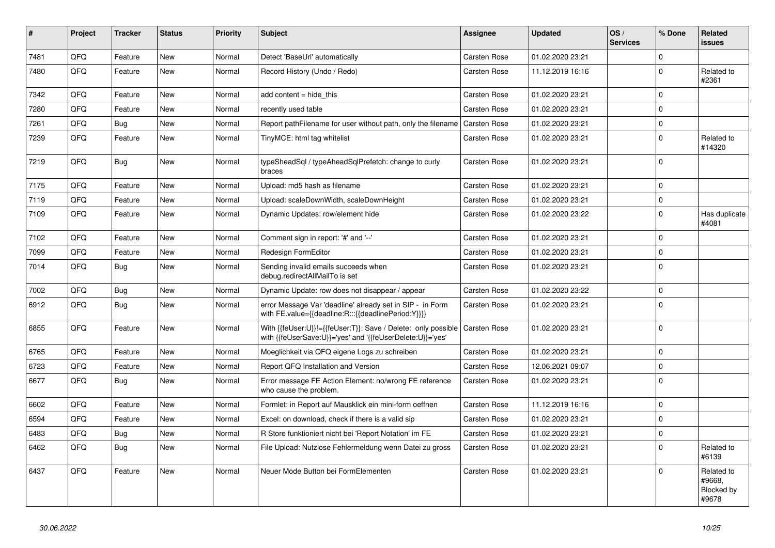| #    | Project    | <b>Tracker</b> | <b>Status</b> | <b>Priority</b> | <b>Subject</b>                                                                                                             | Assignee            | <b>Updated</b>   | OS/<br><b>Services</b> | % Done      | Related<br><b>issues</b>                           |
|------|------------|----------------|---------------|-----------------|----------------------------------------------------------------------------------------------------------------------------|---------------------|------------------|------------------------|-------------|----------------------------------------------------|
| 7481 | <b>OFO</b> | Feature        | <b>New</b>    | Normal          | Detect 'BaseUrl' automatically                                                                                             | Carsten Rose        | 01.02.2020 23:21 |                        | $\Omega$    |                                                    |
| 7480 | QFQ        | Feature        | <b>New</b>    | Normal          | Record History (Undo / Redo)                                                                                               | Carsten Rose        | 11.12.2019 16:16 |                        | $\Omega$    | Related to<br>#2361                                |
| 7342 | QFQ        | Feature        | <b>New</b>    | Normal          | add content $=$ hide this                                                                                                  | Carsten Rose        | 01.02.2020 23:21 |                        | $\Omega$    |                                                    |
| 7280 | QFQ        | Feature        | <b>New</b>    | Normal          | recently used table                                                                                                        | Carsten Rose        | 01.02.2020 23:21 |                        | $\Omega$    |                                                    |
| 7261 | QFQ        | <b>Bug</b>     | New           | Normal          | Report pathFilename for user without path, only the filename                                                               | <b>Carsten Rose</b> | 01.02.2020 23:21 |                        | $\Omega$    |                                                    |
| 7239 | QFQ        | Feature        | <b>New</b>    | Normal          | TinyMCE: html tag whitelist                                                                                                | Carsten Rose        | 01.02.2020 23:21 |                        | $\Omega$    | Related to<br>#14320                               |
| 7219 | QFQ        | Bug            | New           | Normal          | typeSheadSql / typeAheadSqlPrefetch: change to curly<br>braces                                                             | Carsten Rose        | 01.02.2020 23:21 |                        | $\Omega$    |                                                    |
| 7175 | QFQ        | Feature        | <b>New</b>    | Normal          | Upload: md5 hash as filename                                                                                               | Carsten Rose        | 01.02.2020 23:21 |                        | $\Omega$    |                                                    |
| 7119 | QFQ        | Feature        | New           | Normal          | Upload: scaleDownWidth, scaleDownHeight                                                                                    | Carsten Rose        | 01.02.2020 23:21 |                        | $\Omega$    |                                                    |
| 7109 | QFQ        | Feature        | <b>New</b>    | Normal          | Dynamic Updates: row/element hide                                                                                          | Carsten Rose        | 01.02.2020 23:22 |                        | $\Omega$    | Has duplicate<br>#4081                             |
| 7102 | QFQ        | Feature        | <b>New</b>    | Normal          | Comment sign in report: '#' and '--'                                                                                       | Carsten Rose        | 01.02.2020 23:21 |                        | $\Omega$    |                                                    |
| 7099 | QFQ        | Feature        | <b>New</b>    | Normal          | Redesign FormEditor                                                                                                        | Carsten Rose        | 01.02.2020 23:21 |                        | $\Omega$    |                                                    |
| 7014 | QFQ        | Bug            | <b>New</b>    | Normal          | Sending invalid emails succeeds when<br>debug.redirectAllMailTo is set                                                     | Carsten Rose        | 01.02.2020 23:21 |                        | $\Omega$    |                                                    |
| 7002 | QFQ        | <b>Bug</b>     | New           | Normal          | Dynamic Update: row does not disappear / appear                                                                            | Carsten Rose        | 01.02.2020 23:22 |                        | $\Omega$    |                                                    |
| 6912 | QFQ        | <b>Bug</b>     | New           | Normal          | error Message Var 'deadline' already set in SIP - in Form<br>with FE.value={{deadline:R:::{{deadlinePeriod:Y}}}}           | Carsten Rose        | 01.02.2020 23:21 |                        | $\Omega$    |                                                    |
| 6855 | QFQ        | Feature        | New           | Normal          | With {{feUser:U}}!={{feUser:T}}: Save / Delete: only possible<br>with {{feUserSave:U}}='yes' and '{{feUserDelete:U}}='yes' | <b>Carsten Rose</b> | 01.02.2020 23:21 |                        | $\Omega$    |                                                    |
| 6765 | QFQ        | Feature        | New           | Normal          | Moeglichkeit via QFQ eigene Logs zu schreiben                                                                              | Carsten Rose        | 01.02.2020 23:21 |                        | $\Omega$    |                                                    |
| 6723 | QFQ        | Feature        | New           | Normal          | Report QFQ Installation and Version                                                                                        | Carsten Rose        | 12.06.2021 09:07 |                        | $\Omega$    |                                                    |
| 6677 | QFQ        | <b>Bug</b>     | <b>New</b>    | Normal          | Error message FE Action Element: no/wrong FE reference<br>who cause the problem.                                           | Carsten Rose        | 01.02.2020 23:21 |                        | $\Omega$    |                                                    |
| 6602 | QFQ        | Feature        | <b>New</b>    | Normal          | Formlet: in Report auf Mausklick ein mini-form oeffnen                                                                     | Carsten Rose        | 11.12.2019 16:16 |                        | $\Omega$    |                                                    |
| 6594 | QFQ        | Feature        | <b>New</b>    | Normal          | Excel: on download, check if there is a valid sip                                                                          | Carsten Rose        | 01.02.2020 23:21 |                        | $\mathbf 0$ |                                                    |
| 6483 | QFQ        | <b>Bug</b>     | New           | Normal          | R Store funktioniert nicht bei 'Report Notation' im FE                                                                     | <b>Carsten Rose</b> | 01.02.2020 23:21 |                        | $\Omega$    |                                                    |
| 6462 | QFQ        | <b>Bug</b>     | <b>New</b>    | Normal          | File Upload: Nutzlose Fehlermeldung wenn Datei zu gross                                                                    | <b>Carsten Rose</b> | 01.02.2020 23:21 |                        | $\Omega$    | Related to<br>#6139                                |
| 6437 | QFQ        | Feature        | New           | Normal          | Neuer Mode Button bei FormElementen                                                                                        | Carsten Rose        | 01.02.2020 23:21 |                        | $\Omega$    | Related to<br>#9668,<br><b>Blocked by</b><br>#9678 |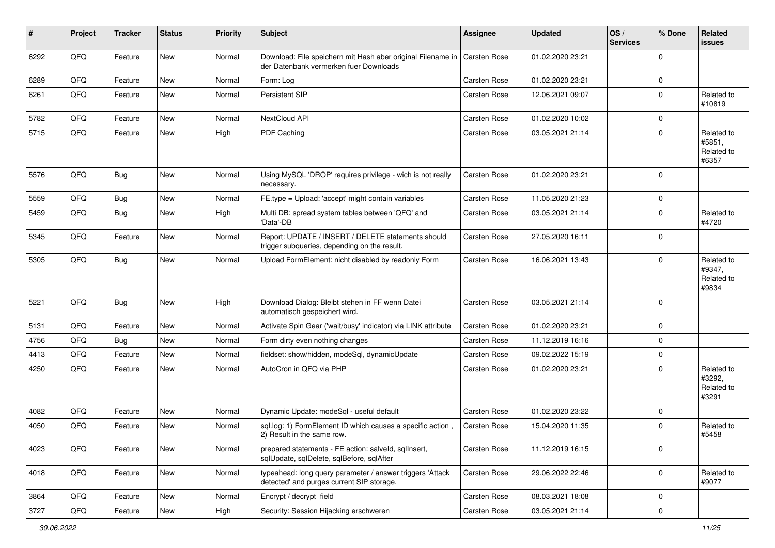| #    | Project | <b>Tracker</b> | <b>Status</b> | <b>Priority</b> | <b>Subject</b>                                                                                         | Assignee            | <b>Updated</b>   | OS/<br><b>Services</b> | % Done         | Related<br><b>issues</b>                    |
|------|---------|----------------|---------------|-----------------|--------------------------------------------------------------------------------------------------------|---------------------|------------------|------------------------|----------------|---------------------------------------------|
| 6292 | QFQ     | Feature        | New           | Normal          | Download: File speichern mit Hash aber original Filename in<br>der Datenbank vermerken fuer Downloads  | Carsten Rose        | 01.02.2020 23:21 |                        | $\Omega$       |                                             |
| 6289 | QFQ     | Feature        | New           | Normal          | Form: Log                                                                                              | Carsten Rose        | 01.02.2020 23:21 |                        | 0              |                                             |
| 6261 | QFQ     | Feature        | New           | Normal          | Persistent SIP                                                                                         | <b>Carsten Rose</b> | 12.06.2021 09:07 |                        | $\Omega$       | Related to<br>#10819                        |
| 5782 | QFQ     | Feature        | New           | Normal          | <b>NextCloud API</b>                                                                                   | <b>Carsten Rose</b> | 01.02.2020 10:02 |                        | 0              |                                             |
| 5715 | QFQ     | Feature        | New           | High            | PDF Caching                                                                                            | <b>Carsten Rose</b> | 03.05.2021 21:14 |                        | 0              | Related to<br>#5851,<br>Related to<br>#6357 |
| 5576 | QFQ     | Bug            | <b>New</b>    | Normal          | Using MySQL 'DROP' requires privilege - wich is not really<br>necessary.                               | Carsten Rose        | 01.02.2020 23:21 |                        | $\Omega$       |                                             |
| 5559 | QFQ     | Bug            | New           | Normal          | FE.type = Upload: 'accept' might contain variables                                                     | <b>Carsten Rose</b> | 11.05.2020 21:23 |                        | 0              |                                             |
| 5459 | QFQ     | <b>Bug</b>     | New           | High            | Multi DB: spread system tables between 'QFQ' and<br>'Data'-DB                                          | <b>Carsten Rose</b> | 03.05.2021 21:14 |                        | 0              | Related to<br>#4720                         |
| 5345 | QFQ     | Feature        | New           | Normal          | Report: UPDATE / INSERT / DELETE statements should<br>trigger subqueries, depending on the result.     | Carsten Rose        | 27.05.2020 16:11 |                        | 0              |                                             |
| 5305 | QFQ     | <b>Bug</b>     | New           | Normal          | Upload FormElement: nicht disabled by readonly Form                                                    | <b>Carsten Rose</b> | 16.06.2021 13:43 |                        | 0              | Related to<br>#9347,<br>Related to<br>#9834 |
| 5221 | QFQ     | <b>Bug</b>     | New           | High            | Download Dialog: Bleibt stehen in FF wenn Datei<br>automatisch gespeichert wird.                       | <b>Carsten Rose</b> | 03.05.2021 21:14 |                        | $\Omega$       |                                             |
| 5131 | QFQ     | Feature        | New           | Normal          | Activate Spin Gear ('wait/busy' indicator) via LINK attribute                                          | <b>Carsten Rose</b> | 01.02.2020 23:21 |                        | 0              |                                             |
| 4756 | QFQ     | Bug            | New           | Normal          | Form dirty even nothing changes                                                                        | <b>Carsten Rose</b> | 11.12.2019 16:16 |                        | $\overline{0}$ |                                             |
| 4413 | QFQ     | Feature        | <b>New</b>    | Normal          | fieldset: show/hidden, modeSql, dynamicUpdate                                                          | <b>Carsten Rose</b> | 09.02.2022 15:19 |                        | 0              |                                             |
| 4250 | QFQ     | Feature        | New           | Normal          | AutoCron in QFQ via PHP                                                                                | <b>Carsten Rose</b> | 01.02.2020 23:21 |                        | 0              | Related to<br>#3292,<br>Related to<br>#3291 |
| 4082 | QFQ     | Feature        | New           | Normal          | Dynamic Update: modeSql - useful default                                                               | <b>Carsten Rose</b> | 01.02.2020 23:22 |                        | 0              |                                             |
| 4050 | QFQ     | Feature        | New           | Normal          | sql.log: 1) FormElement ID which causes a specific action,<br>2) Result in the same row.               | <b>Carsten Rose</b> | 15.04.2020 11:35 |                        | 0              | Related to<br>#5458                         |
| 4023 | QFQ     | Feature        | New           | Normal          | prepared statements - FE action: salveld, sqlInsert,<br>sqlUpdate, sqlDelete, sqlBefore, sqlAfter      | <b>Carsten Rose</b> | 11.12.2019 16:15 |                        | 0              |                                             |
| 4018 | QFQ     | Feature        | New           | Normal          | typeahead: long query parameter / answer triggers 'Attack<br>detected' and purges current SIP storage. | Carsten Rose        | 29.06.2022 22:46 |                        | $\mathbf{0}$   | Related to<br>#9077                         |
| 3864 | QFQ     | Feature        | New           | Normal          | Encrypt / decrypt field                                                                                | Carsten Rose        | 08.03.2021 18:08 |                        | 0              |                                             |
| 3727 | QFQ     | Feature        | New           | High            | Security: Session Hijacking erschweren                                                                 | Carsten Rose        | 03.05.2021 21:14 |                        | 0              |                                             |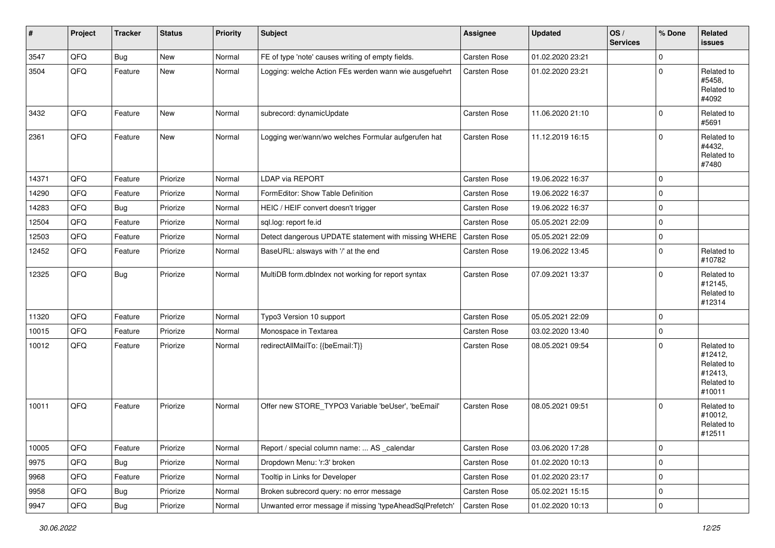| $\sharp$ | Project | <b>Tracker</b> | <b>Status</b> | <b>Priority</b> | <b>Subject</b>                                           | <b>Assignee</b>     | <b>Updated</b>   | OS/<br><b>Services</b> | % Done         | Related<br>issues                                                      |
|----------|---------|----------------|---------------|-----------------|----------------------------------------------------------|---------------------|------------------|------------------------|----------------|------------------------------------------------------------------------|
| 3547     | QFQ     | <b>Bug</b>     | New           | Normal          | FE of type 'note' causes writing of empty fields.        | Carsten Rose        | 01.02.2020 23:21 |                        | $\mathbf 0$    |                                                                        |
| 3504     | QFQ     | Feature        | New           | Normal          | Logging: welche Action FEs werden wann wie ausgefuehrt   | Carsten Rose        | 01.02.2020 23:21 |                        | $\mathbf 0$    | Related to<br>#5458,<br>Related to<br>#4092                            |
| 3432     | QFQ     | Feature        | New           | Normal          | subrecord: dynamicUpdate                                 | <b>Carsten Rose</b> | 11.06.2020 21:10 |                        | $\Omega$       | Related to<br>#5691                                                    |
| 2361     | QFQ     | Feature        | New           | Normal          | Logging wer/wann/wo welches Formular aufgerufen hat      | Carsten Rose        | 11.12.2019 16:15 |                        | $\Omega$       | Related to<br>#4432,<br>Related to<br>#7480                            |
| 14371    | QFQ     | Feature        | Priorize      | Normal          | LDAP via REPORT                                          | Carsten Rose        | 19.06.2022 16:37 |                        | $\mathbf 0$    |                                                                        |
| 14290    | QFQ     | Feature        | Priorize      | Normal          | FormEditor: Show Table Definition                        | Carsten Rose        | 19.06.2022 16:37 |                        | $\mathbf 0$    |                                                                        |
| 14283    | QFQ     | <b>Bug</b>     | Priorize      | Normal          | HEIC / HEIF convert doesn't trigger                      | Carsten Rose        | 19.06.2022 16:37 |                        | $\mathbf 0$    |                                                                        |
| 12504    | QFQ     | Feature        | Priorize      | Normal          | sql.log: report fe.id                                    | <b>Carsten Rose</b> | 05.05.2021 22:09 |                        | $\mathbf 0$    |                                                                        |
| 12503    | QFQ     | Feature        | Priorize      | Normal          | Detect dangerous UPDATE statement with missing WHERE     | Carsten Rose        | 05.05.2021 22:09 |                        | $\pmb{0}$      |                                                                        |
| 12452    | QFQ     | Feature        | Priorize      | Normal          | BaseURL: alsways with '/' at the end                     | Carsten Rose        | 19.06.2022 13:45 |                        | $\mathbf 0$    | Related to<br>#10782                                                   |
| 12325    | QFQ     | <b>Bug</b>     | Priorize      | Normal          | MultiDB form.dblndex not working for report syntax       | <b>Carsten Rose</b> | 07.09.2021 13:37 |                        | $\Omega$       | Related to<br>#12145,<br>Related to<br>#12314                          |
| 11320    | QFQ     | Feature        | Priorize      | Normal          | Typo3 Version 10 support                                 | Carsten Rose        | 05.05.2021 22:09 |                        | $\mathbf 0$    |                                                                        |
| 10015    | QFQ     | Feature        | Priorize      | Normal          | Monospace in Textarea                                    | Carsten Rose        | 03.02.2020 13:40 |                        | $\pmb{0}$      |                                                                        |
| 10012    | QFQ     | Feature        | Priorize      | Normal          | redirectAllMailTo: {{beEmail:T}}                         | Carsten Rose        | 08.05.2021 09:54 |                        | $\mathbf 0$    | Related to<br>#12412,<br>Related to<br>#12413,<br>Related to<br>#10011 |
| 10011    | QFQ     | Feature        | Priorize      | Normal          | Offer new STORE_TYPO3 Variable 'beUser', 'beEmail'       | <b>Carsten Rose</b> | 08.05.2021 09:51 |                        | $\mathbf 0$    | Related to<br>#10012,<br>Related to<br>#12511                          |
| 10005    | QFQ     | Feature        | Priorize      | Normal          | Report / special column name:  AS _calendar              | Carsten Rose        | 03.06.2020 17:28 |                        | $\mathbf 0$    |                                                                        |
| 9975     | QFQ     | Bug            | Priorize      | Normal          | Dropdown Menu: 'r:3' broken                              | Carsten Rose        | 01.02.2020 10:13 |                        | $\mathbf 0$    |                                                                        |
| 9968     | QFQ     | Feature        | Priorize      | Normal          | Tooltip in Links for Developer                           | Carsten Rose        | 01.02.2020 23:17 |                        | $\mathbf 0$    |                                                                        |
| 9958     | QFQ     | <b>Bug</b>     | Priorize      | Normal          | Broken subrecord query: no error message                 | Carsten Rose        | 05.02.2021 15:15 |                        | $\mathbf 0$    |                                                                        |
| 9947     | QFQ     | Bug            | Priorize      | Normal          | Unwanted error message if missing 'typeAheadSqlPrefetch' | Carsten Rose        | 01.02.2020 10:13 |                        | $\overline{0}$ |                                                                        |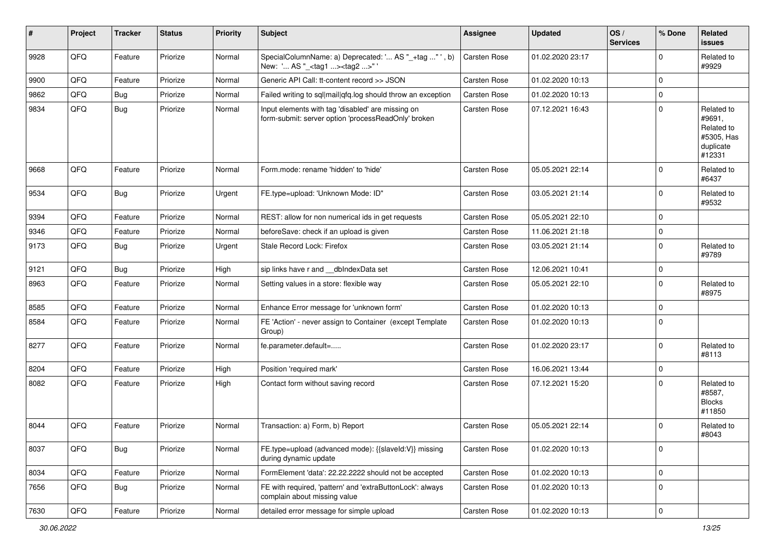| #    | Project | <b>Tracker</b> | <b>Status</b> | <b>Priority</b> | <b>Subject</b>                                                                                           | <b>Assignee</b>     | <b>Updated</b>   | OS/<br><b>Services</b> | % Done              | Related<br><b>issues</b>                                                |
|------|---------|----------------|---------------|-----------------|----------------------------------------------------------------------------------------------------------|---------------------|------------------|------------------------|---------------------|-------------------------------------------------------------------------|
| 9928 | QFQ     | Feature        | Priorize      | Normal          | SpecialColumnName: a) Deprecated: ' AS "_+tag "', b)<br>New: ' AS "_ <tag1><tag2>"</tag2></tag1>         | <b>Carsten Rose</b> | 01.02.2020 23:17 |                        | $\Omega$            | Related to<br>#9929                                                     |
| 9900 | QFQ     | Feature        | Priorize      | Normal          | Generic API Call: tt-content record >> JSON                                                              | <b>Carsten Rose</b> | 01.02.2020 10:13 |                        | $\Omega$            |                                                                         |
| 9862 | QFQ     | Bug            | Priorize      | Normal          | Failed writing to sql mail qfq.log should throw an exception                                             | <b>Carsten Rose</b> | 01.02.2020 10:13 |                        | $\mathbf 0$         |                                                                         |
| 9834 | QFQ     | <b>Bug</b>     | Priorize      | Normal          | Input elements with tag 'disabled' are missing on<br>form-submit: server option 'processReadOnly' broken | Carsten Rose        | 07.12.2021 16:43 |                        | $\mathbf 0$         | Related to<br>#9691,<br>Related to<br>#5305, Has<br>duplicate<br>#12331 |
| 9668 | QFQ     | Feature        | Priorize      | Normal          | Form.mode: rename 'hidden' to 'hide'                                                                     | Carsten Rose        | 05.05.2021 22:14 |                        | $\mathbf 0$         | Related to<br>#6437                                                     |
| 9534 | QFQ     | Bug            | Priorize      | Urgent          | FE.type=upload: 'Unknown Mode: ID"                                                                       | Carsten Rose        | 03.05.2021 21:14 |                        | $\mathbf 0$         | Related to<br>#9532                                                     |
| 9394 | QFQ     | Feature        | Priorize      | Normal          | REST: allow for non numerical ids in get requests                                                        | <b>Carsten Rose</b> | 05.05.2021 22:10 |                        | $\mathbf 0$         |                                                                         |
| 9346 | QFQ     | Feature        | Priorize      | Normal          | beforeSave: check if an upload is given                                                                  | Carsten Rose        | 11.06.2021 21:18 |                        | $\mathbf 0$         |                                                                         |
| 9173 | QFQ     | Bug            | Priorize      | Urgent          | Stale Record Lock: Firefox                                                                               | <b>Carsten Rose</b> | 03.05.2021 21:14 |                        | $\mathbf 0$         | Related to<br>#9789                                                     |
| 9121 | QFQ     | <b>Bug</b>     | Priorize      | High            | sip links have r and __dbIndexData set                                                                   | Carsten Rose        | 12.06.2021 10:41 |                        | $\mathbf 0$         |                                                                         |
| 8963 | QFQ     | Feature        | Priorize      | Normal          | Setting values in a store: flexible way                                                                  | Carsten Rose        | 05.05.2021 22:10 |                        | $\Omega$            | Related to<br>#8975                                                     |
| 8585 | QFQ     | Feature        | Priorize      | Normal          | Enhance Error message for 'unknown form'                                                                 | Carsten Rose        | 01.02.2020 10:13 |                        | $\Omega$            |                                                                         |
| 8584 | QFQ     | Feature        | Priorize      | Normal          | FE 'Action' - never assign to Container (except Template<br>Group)                                       | <b>Carsten Rose</b> | 01.02.2020 10:13 |                        | $\mathbf 0$         |                                                                         |
| 8277 | QFQ     | Feature        | Priorize      | Normal          | fe.parameter.default=                                                                                    | Carsten Rose        | 01.02.2020 23:17 |                        | $\mathbf 0$         | Related to<br>#8113                                                     |
| 8204 | QFQ     | Feature        | Priorize      | High            | Position 'required mark'                                                                                 | Carsten Rose        | 16.06.2021 13:44 |                        | $\mathbf 0$         |                                                                         |
| 8082 | QFQ     | Feature        | Priorize      | High            | Contact form without saving record                                                                       | Carsten Rose        | 07.12.2021 15:20 |                        | $\mathbf 0$         | Related to<br>#8587,<br><b>Blocks</b><br>#11850                         |
| 8044 | QFQ     | Feature        | Priorize      | Normal          | Transaction: a) Form, b) Report                                                                          | Carsten Rose        | 05.05.2021 22:14 |                        | $\mathbf 0$         | Related to<br>#8043                                                     |
| 8037 | QFQ     | <b>Bug</b>     | Priorize      | Normal          | FE.type=upload (advanced mode): {{slaveld:V}} missing<br>during dynamic update                           | Carsten Rose        | 01.02.2020 10:13 |                        | $\pmb{0}$           |                                                                         |
| 8034 | QFQ     | Feature        | Priorize      | Normal          | FormElement 'data': 22.22.2222 should not be accepted                                                    | Carsten Rose        | 01.02.2020 10:13 |                        | $\mathbf 0$         |                                                                         |
| 7656 | QFQ     | <b>Bug</b>     | Priorize      | Normal          | FE with required, 'pattern' and 'extraButtonLock': always<br>complain about missing value                | Carsten Rose        | 01.02.2020 10:13 |                        | 0                   |                                                                         |
| 7630 | QFQ     | Feature        | Priorize      | Normal          | detailed error message for simple upload                                                                 | Carsten Rose        | 01.02.2020 10:13 |                        | $\mathsf{O}\xspace$ |                                                                         |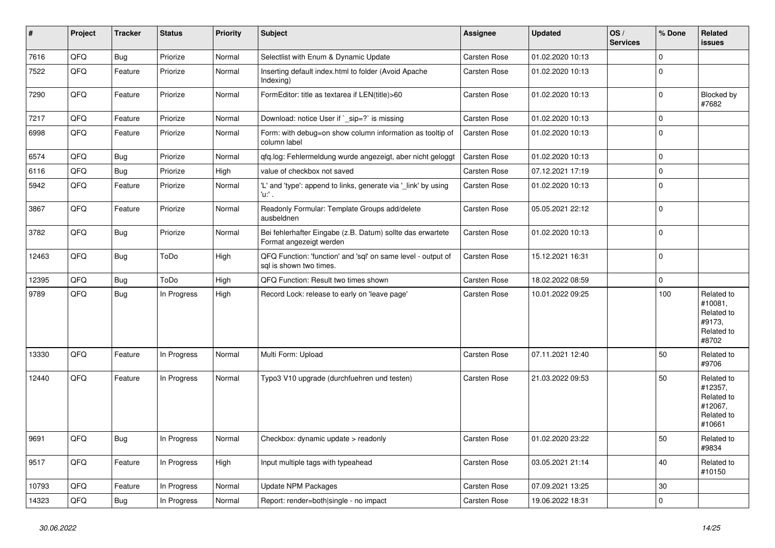| $\vert$ # | Project | <b>Tracker</b> | <b>Status</b> | <b>Priority</b> | <b>Subject</b>                                                                          | <b>Assignee</b>     | <b>Updated</b>   | OS/<br><b>Services</b> | % Done      | Related<br>issues                                                      |
|-----------|---------|----------------|---------------|-----------------|-----------------------------------------------------------------------------------------|---------------------|------------------|------------------------|-------------|------------------------------------------------------------------------|
| 7616      | QFQ     | <b>Bug</b>     | Priorize      | Normal          | Selectlist with Enum & Dynamic Update                                                   | Carsten Rose        | 01.02.2020 10:13 |                        | $\mathbf 0$ |                                                                        |
| 7522      | QFQ     | Feature        | Priorize      | Normal          | Inserting default index.html to folder (Avoid Apache<br>Indexing)                       | Carsten Rose        | 01.02.2020 10:13 |                        | $\Omega$    |                                                                        |
| 7290      | QFQ     | Feature        | Priorize      | Normal          | FormEditor: title as textarea if LEN(title)>60                                          | Carsten Rose        | 01.02.2020 10:13 |                        | $\Omega$    | Blocked by<br>#7682                                                    |
| 7217      | QFQ     | Feature        | Priorize      | Normal          | Download: notice User if `_sip=?` is missing                                            | Carsten Rose        | 01.02.2020 10:13 |                        | $\mathbf 0$ |                                                                        |
| 6998      | QFQ     | Feature        | Priorize      | Normal          | Form: with debug=on show column information as tooltip of<br>column label               | Carsten Rose        | 01.02.2020 10:13 |                        | $\Omega$    |                                                                        |
| 6574      | QFQ     | <b>Bug</b>     | Priorize      | Normal          | qfq.log: Fehlermeldung wurde angezeigt, aber nicht geloggt                              | Carsten Rose        | 01.02.2020 10:13 |                        | $\mathbf 0$ |                                                                        |
| 6116      | QFQ     | Bug            | Priorize      | High            | value of checkbox not saved                                                             | Carsten Rose        | 07.12.2021 17:19 |                        | $\Omega$    |                                                                        |
| 5942      | QFQ     | Feature        | Priorize      | Normal          | 'L' and 'type': append to links, generate via 'link' by using<br>'u:' .                 | <b>Carsten Rose</b> | 01.02.2020 10:13 |                        | $\Omega$    |                                                                        |
| 3867      | QFQ     | Feature        | Priorize      | Normal          | Readonly Formular: Template Groups add/delete<br>ausbeldnen                             | Carsten Rose        | 05.05.2021 22:12 |                        | $\mathbf 0$ |                                                                        |
| 3782      | QFQ     | <b>Bug</b>     | Priorize      | Normal          | Bei fehlerhafter Eingabe (z.B. Datum) sollte das erwartete<br>Format angezeigt werden   | Carsten Rose        | 01.02.2020 10:13 |                        | $\Omega$    |                                                                        |
| 12463     | QFQ     | <b>Bug</b>     | ToDo          | High            | QFQ Function: 'function' and 'sql' on same level - output of<br>sal is shown two times. | Carsten Rose        | 15.12.2021 16:31 |                        | $\mathbf 0$ |                                                                        |
| 12395     | QFQ     | Bug            | ToDo          | High            | QFQ Function: Result two times shown                                                    | Carsten Rose        | 18.02.2022 08:59 |                        | $\mathbf 0$ |                                                                        |
| 9789      | QFQ     | Bug            | In Progress   | High            | Record Lock: release to early on 'leave page'                                           | Carsten Rose        | 10.01.2022 09:25 |                        | 100         | Related to<br>#10081,<br>Related to<br>#9173,<br>Related to<br>#8702   |
| 13330     | QFQ     | Feature        | In Progress   | Normal          | Multi Form: Upload                                                                      | Carsten Rose        | 07.11.2021 12:40 |                        | 50          | Related to<br>#9706                                                    |
| 12440     | QFQ     | Feature        | In Progress   | Normal          | Typo3 V10 upgrade (durchfuehren und testen)                                             | Carsten Rose        | 21.03.2022 09:53 |                        | 50          | Related to<br>#12357,<br>Related to<br>#12067,<br>Related to<br>#10661 |
| 9691      | QFQ     | <b>Bug</b>     | In Progress   | Normal          | Checkbox: dynamic update > readonly                                                     | Carsten Rose        | 01.02.2020 23:22 |                        | 50          | Related to<br>#9834                                                    |
| 9517      | QFQ     | Feature        | In Progress   | High            | Input multiple tags with typeahead                                                      | Carsten Rose        | 03.05.2021 21:14 |                        | 40          | Related to<br>#10150                                                   |
| 10793     | QFQ     | Feature        | In Progress   | Normal          | <b>Update NPM Packages</b>                                                              | <b>Carsten Rose</b> | 07.09.2021 13:25 |                        | $30\,$      |                                                                        |
| 14323     | QFQ     | Bug            | In Progress   | Normal          | Report: render=both single - no impact                                                  | <b>Carsten Rose</b> | 19.06.2022 18:31 |                        | $\Omega$    |                                                                        |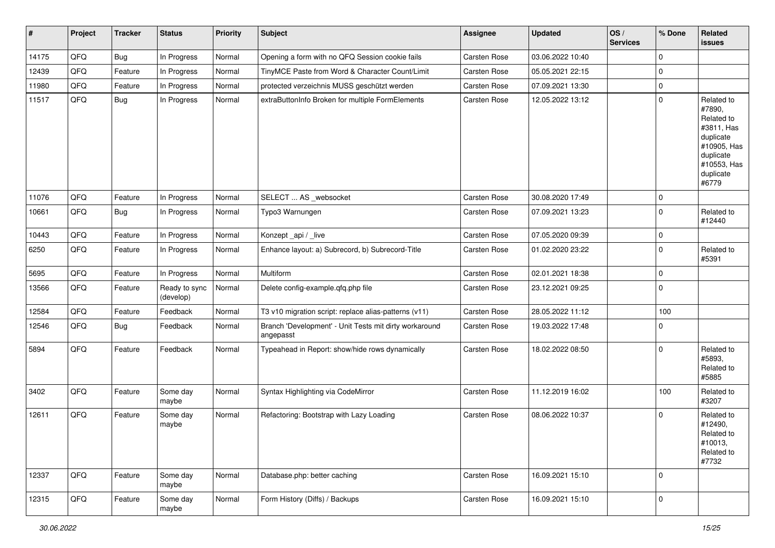| #     | Project | <b>Tracker</b> | <b>Status</b>              | <b>Priority</b> | <b>Subject</b>                                                      | <b>Assignee</b>     | <b>Updated</b>   | OS/<br><b>Services</b> | % Done              | Related<br>issues                                                                                                              |
|-------|---------|----------------|----------------------------|-----------------|---------------------------------------------------------------------|---------------------|------------------|------------------------|---------------------|--------------------------------------------------------------------------------------------------------------------------------|
| 14175 | QFQ     | Bug            | In Progress                | Normal          | Opening a form with no QFQ Session cookie fails                     | <b>Carsten Rose</b> | 03.06.2022 10:40 |                        | 0                   |                                                                                                                                |
| 12439 | QFQ     | Feature        | In Progress                | Normal          | TinyMCE Paste from Word & Character Count/Limit                     | <b>Carsten Rose</b> | 05.05.2021 22:15 |                        | 0                   |                                                                                                                                |
| 11980 | QFQ     | Feature        | In Progress                | Normal          | protected verzeichnis MUSS geschützt werden                         | Carsten Rose        | 07.09.2021 13:30 |                        | $\mathbf 0$         |                                                                                                                                |
| 11517 | QFQ     | <b>Bug</b>     | In Progress                | Normal          | extraButtonInfo Broken for multiple FormElements                    | <b>Carsten Rose</b> | 12.05.2022 13:12 |                        | $\mathbf{0}$        | Related to<br>#7890,<br>Related to<br>#3811, Has<br>duplicate<br>#10905, Has<br>duplicate<br>#10553, Has<br>duplicate<br>#6779 |
| 11076 | QFQ     | Feature        | In Progress                | Normal          | SELECT  AS _websocket                                               | Carsten Rose        | 30.08.2020 17:49 |                        | 0                   |                                                                                                                                |
| 10661 | QFQ     | <b>Bug</b>     | In Progress                | Normal          | Typo3 Warnungen                                                     | <b>Carsten Rose</b> | 07.09.2021 13:23 |                        | $\mathbf{0}$        | Related to<br>#12440                                                                                                           |
| 10443 | QFQ     | Feature        | In Progress                | Normal          | Konzept_api / _live                                                 | Carsten Rose        | 07.05.2020 09:39 |                        | 0                   |                                                                                                                                |
| 6250  | QFQ     | Feature        | In Progress                | Normal          | Enhance layout: a) Subrecord, b) Subrecord-Title                    | Carsten Rose        | 01.02.2020 23:22 |                        | $\mathbf{0}$        | Related to<br>#5391                                                                                                            |
| 5695  | QFQ     | Feature        | In Progress                | Normal          | Multiform                                                           | Carsten Rose        | 02.01.2021 18:38 |                        | $\mathsf{O}\xspace$ |                                                                                                                                |
| 13566 | QFQ     | Feature        | Ready to sync<br>(develop) | Normal          | Delete config-example.qfq.php file                                  | <b>Carsten Rose</b> | 23.12.2021 09:25 |                        | $\mathbf{0}$        |                                                                                                                                |
| 12584 | QFQ     | Feature        | Feedback                   | Normal          | T3 v10 migration script: replace alias-patterns (v11)               | <b>Carsten Rose</b> | 28.05.2022 11:12 |                        | 100                 |                                                                                                                                |
| 12546 | QFQ     | <b>Bug</b>     | Feedback                   | Normal          | Branch 'Development' - Unit Tests mit dirty workaround<br>angepasst | Carsten Rose        | 19.03.2022 17:48 |                        | 0                   |                                                                                                                                |
| 5894  | QFQ     | Feature        | Feedback                   | Normal          | Typeahead in Report: show/hide rows dynamically                     | <b>Carsten Rose</b> | 18.02.2022 08:50 |                        | $\mathbf{0}$        | Related to<br>#5893,<br>Related to<br>#5885                                                                                    |
| 3402  | QFQ     | Feature        | Some day<br>maybe          | Normal          | Syntax Highlighting via CodeMirror                                  | Carsten Rose        | 11.12.2019 16:02 |                        | 100                 | Related to<br>#3207                                                                                                            |
| 12611 | QFQ     | Feature        | Some day<br>maybe          | Normal          | Refactoring: Bootstrap with Lazy Loading                            | <b>Carsten Rose</b> | 08.06.2022 10:37 |                        | $\mathbf{0}$        | Related to<br>#12490,<br>Related to<br>#10013,<br>Related to<br>#7732                                                          |
| 12337 | QFQ     | Feature        | Some day<br>maybe          | Normal          | Database.php: better caching                                        | <b>Carsten Rose</b> | 16.09.2021 15:10 |                        | $\mathbf 0$         |                                                                                                                                |
| 12315 | QFQ     | Feature        | Some day<br>maybe          | Normal          | Form History (Diffs) / Backups                                      | Carsten Rose        | 16.09.2021 15:10 |                        | $\mathsf{O}\xspace$ |                                                                                                                                |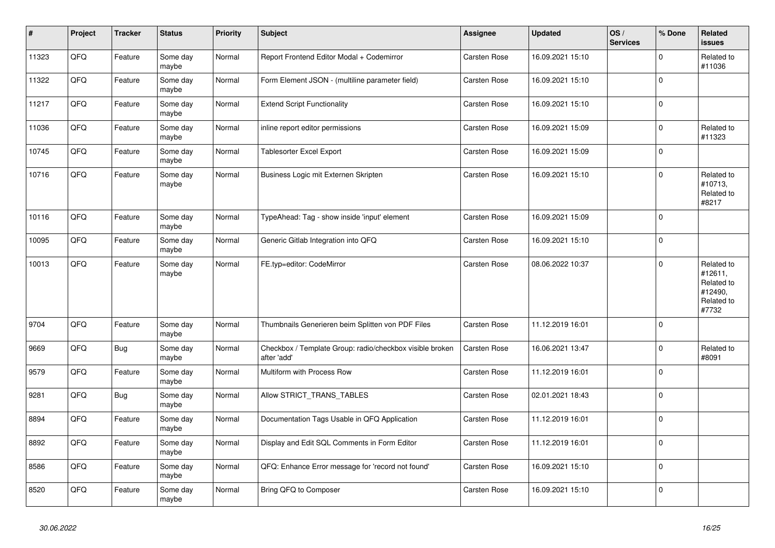| $\vert$ # | Project | <b>Tracker</b> | <b>Status</b>     | <b>Priority</b> | <b>Subject</b>                                                          | <b>Assignee</b>     | <b>Updated</b>   | OS/<br><b>Services</b> | % Done      | Related<br><b>issues</b>                                              |
|-----------|---------|----------------|-------------------|-----------------|-------------------------------------------------------------------------|---------------------|------------------|------------------------|-------------|-----------------------------------------------------------------------|
| 11323     | QFQ     | Feature        | Some day<br>maybe | Normal          | Report Frontend Editor Modal + Codemirror                               | <b>Carsten Rose</b> | 16.09.2021 15:10 |                        | $\Omega$    | Related to<br>#11036                                                  |
| 11322     | QFQ     | Feature        | Some day<br>maybe | Normal          | Form Element JSON - (multiline parameter field)                         | <b>Carsten Rose</b> | 16.09.2021 15:10 |                        | $\mathbf 0$ |                                                                       |
| 11217     | QFQ     | Feature        | Some day<br>maybe | Normal          | <b>Extend Script Functionality</b>                                      | Carsten Rose        | 16.09.2021 15:10 |                        | $\Omega$    |                                                                       |
| 11036     | QFQ     | Feature        | Some day<br>maybe | Normal          | inline report editor permissions                                        | <b>Carsten Rose</b> | 16.09.2021 15:09 |                        | $\mathbf 0$ | Related to<br>#11323                                                  |
| 10745     | QFQ     | Feature        | Some day<br>maybe | Normal          | Tablesorter Excel Export                                                | <b>Carsten Rose</b> | 16.09.2021 15:09 |                        | $\Omega$    |                                                                       |
| 10716     | QFQ     | Feature        | Some day<br>maybe | Normal          | Business Logic mit Externen Skripten                                    | Carsten Rose        | 16.09.2021 15:10 |                        | $\mathbf 0$ | Related to<br>#10713,<br>Related to<br>#8217                          |
| 10116     | QFQ     | Feature        | Some day<br>maybe | Normal          | TypeAhead: Tag - show inside 'input' element                            | <b>Carsten Rose</b> | 16.09.2021 15:09 |                        | $\mathbf 0$ |                                                                       |
| 10095     | QFQ     | Feature        | Some day<br>maybe | Normal          | Generic Gitlab Integration into QFQ                                     | <b>Carsten Rose</b> | 16.09.2021 15:10 |                        | $\mathbf 0$ |                                                                       |
| 10013     | QFQ     | Feature        | Some day<br>maybe | Normal          | FE.typ=editor: CodeMirror                                               | <b>Carsten Rose</b> | 08.06.2022 10:37 |                        | $\mathbf 0$ | Related to<br>#12611,<br>Related to<br>#12490,<br>Related to<br>#7732 |
| 9704      | QFQ     | Feature        | Some day<br>maybe | Normal          | Thumbnails Generieren beim Splitten von PDF Files                       | <b>Carsten Rose</b> | 11.12.2019 16:01 |                        | $\Omega$    |                                                                       |
| 9669      | QFQ     | <b>Bug</b>     | Some day<br>maybe | Normal          | Checkbox / Template Group: radio/checkbox visible broken<br>after 'add' | Carsten Rose        | 16.06.2021 13:47 |                        | $\pmb{0}$   | Related to<br>#8091                                                   |
| 9579      | QFQ     | Feature        | Some day<br>maybe | Normal          | Multiform with Process Row                                              | Carsten Rose        | 11.12.2019 16:01 |                        | $\Omega$    |                                                                       |
| 9281      | QFQ     | <b>Bug</b>     | Some day<br>maybe | Normal          | Allow STRICT_TRANS_TABLES                                               | <b>Carsten Rose</b> | 02.01.2021 18:43 |                        | $\mathbf 0$ |                                                                       |
| 8894      | QFQ     | Feature        | Some day<br>maybe | Normal          | Documentation Tags Usable in QFQ Application                            | <b>Carsten Rose</b> | 11.12.2019 16:01 |                        | $\mathbf 0$ |                                                                       |
| 8892      | QFQ     | Feature        | Some day<br>maybe | Normal          | Display and Edit SQL Comments in Form Editor                            | <b>Carsten Rose</b> | 11.12.2019 16:01 |                        | $\Omega$    |                                                                       |
| 8586      | QFQ     | Feature        | Some day<br>maybe | Normal          | QFQ: Enhance Error message for 'record not found'                       | <b>Carsten Rose</b> | 16.09.2021 15:10 |                        | $\mathbf 0$ |                                                                       |
| 8520      | QFG     | Feature        | Some day<br>maybe | Normal          | Bring QFQ to Composer                                                   | Carsten Rose        | 16.09.2021 15:10 |                        | $\pmb{0}$   |                                                                       |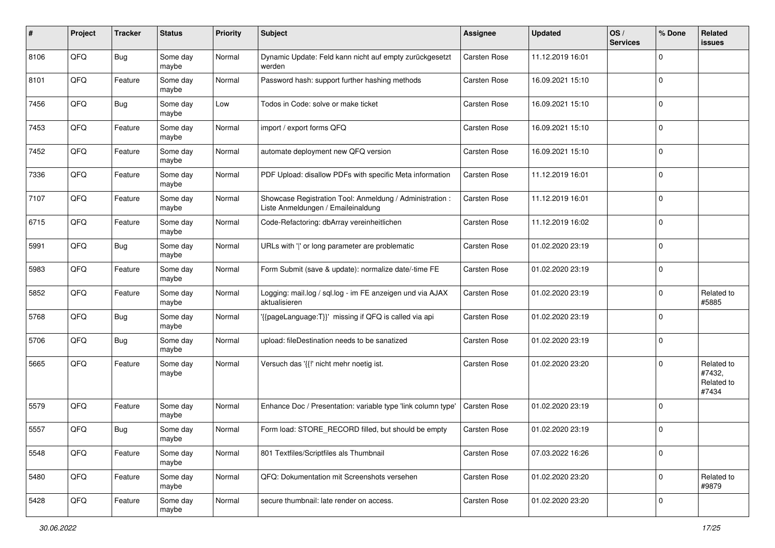| #    | Project | <b>Tracker</b> | <b>Status</b>     | <b>Priority</b> | <b>Subject</b>                                                                                 | <b>Assignee</b>     | <b>Updated</b>   | OS/<br><b>Services</b> | % Done      | Related<br>issues                           |
|------|---------|----------------|-------------------|-----------------|------------------------------------------------------------------------------------------------|---------------------|------------------|------------------------|-------------|---------------------------------------------|
| 8106 | QFQ     | <b>Bug</b>     | Some day<br>maybe | Normal          | Dynamic Update: Feld kann nicht auf empty zurückgesetzt<br>werden                              | <b>Carsten Rose</b> | 11.12.2019 16:01 |                        | $\Omega$    |                                             |
| 8101 | QFQ     | Feature        | Some day<br>maybe | Normal          | Password hash: support further hashing methods                                                 | <b>Carsten Rose</b> | 16.09.2021 15:10 |                        | $\Omega$    |                                             |
| 7456 | QFQ     | <b>Bug</b>     | Some day<br>maybe | Low             | Todos in Code: solve or make ticket                                                            | Carsten Rose        | 16.09.2021 15:10 |                        | $\Omega$    |                                             |
| 7453 | QFQ     | Feature        | Some day<br>maybe | Normal          | import / export forms QFQ                                                                      | Carsten Rose        | 16.09.2021 15:10 |                        | $\Omega$    |                                             |
| 7452 | QFQ     | Feature        | Some day<br>maybe | Normal          | automate deployment new QFQ version                                                            | Carsten Rose        | 16.09.2021 15:10 |                        | $\Omega$    |                                             |
| 7336 | QFQ     | Feature        | Some day<br>maybe | Normal          | PDF Upload: disallow PDFs with specific Meta information                                       | <b>Carsten Rose</b> | 11.12.2019 16:01 |                        | $\Omega$    |                                             |
| 7107 | QFQ     | Feature        | Some day<br>maybe | Normal          | Showcase Registration Tool: Anmeldung / Administration :<br>Liste Anmeldungen / Emaileinaldung | <b>Carsten Rose</b> | 11.12.2019 16:01 |                        | $\Omega$    |                                             |
| 6715 | QFQ     | Feature        | Some day<br>maybe | Normal          | Code-Refactoring: dbArray vereinheitlichen                                                     | <b>Carsten Rose</b> | 11.12.2019 16:02 |                        | $\Omega$    |                                             |
| 5991 | QFQ     | Bug            | Some day<br>maybe | Normal          | URLs with ' ' or long parameter are problematic                                                | Carsten Rose        | 01.02.2020 23:19 |                        | $\mathbf 0$ |                                             |
| 5983 | QFQ     | Feature        | Some day<br>maybe | Normal          | Form Submit (save & update): normalize date/-time FE                                           | Carsten Rose        | 01.02.2020 23:19 |                        | $\Omega$    |                                             |
| 5852 | QFQ     | Feature        | Some day<br>maybe | Normal          | Logging: mail.log / sql.log - im FE anzeigen und via AJAX<br>aktualisieren                     | Carsten Rose        | 01.02.2020 23:19 |                        | $\Omega$    | Related to<br>#5885                         |
| 5768 | QFQ     | <b>Bug</b>     | Some day<br>maybe | Normal          | '{{pageLanguage:T}}' missing if QFQ is called via api                                          | Carsten Rose        | 01.02.2020 23:19 |                        | $\Omega$    |                                             |
| 5706 | QFQ     | <b>Bug</b>     | Some day<br>maybe | Normal          | upload: fileDestination needs to be sanatized                                                  | <b>Carsten Rose</b> | 01.02.2020 23:19 |                        | $\Omega$    |                                             |
| 5665 | QFQ     | Feature        | Some day<br>maybe | Normal          | Versuch das '{{!' nicht mehr noetig ist.                                                       | Carsten Rose        | 01.02.2020 23:20 |                        | $\Omega$    | Related to<br>#7432,<br>Related to<br>#7434 |
| 5579 | QFQ     | Feature        | Some day<br>maybe | Normal          | Enhance Doc / Presentation: variable type 'link column type'                                   | Carsten Rose        | 01.02.2020 23:19 |                        | $\Omega$    |                                             |
| 5557 | QFQ     | <b>Bug</b>     | Some day<br>maybe | Normal          | Form load: STORE_RECORD filled, but should be empty                                            | Carsten Rose        | 01.02.2020 23:19 |                        | $\Omega$    |                                             |
| 5548 | QFQ     | Feature        | Some day<br>maybe | Normal          | 801 Textfiles/Scriptfiles als Thumbnail                                                        | Carsten Rose        | 07.03.2022 16:26 |                        | 0           |                                             |
| 5480 | QFQ     | Feature        | Some day<br>maybe | Normal          | QFQ: Dokumentation mit Screenshots versehen                                                    | Carsten Rose        | 01.02.2020 23:20 |                        | $\mathbf 0$ | Related to<br>#9879                         |
| 5428 | QFQ     | Feature        | Some day<br>maybe | Normal          | secure thumbnail: late render on access.                                                       | Carsten Rose        | 01.02.2020 23:20 |                        | $\mathbf 0$ |                                             |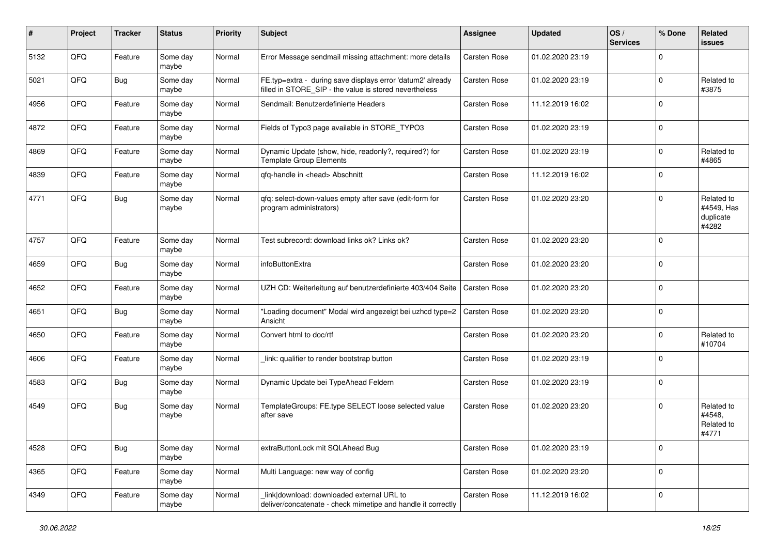| ∦    | Project | <b>Tracker</b> | <b>Status</b>     | <b>Priority</b> | <b>Subject</b>                                                                                                       | <b>Assignee</b>     | <b>Updated</b>   | OS/<br><b>Services</b> | % Done      | Related<br><b>issues</b>                       |
|------|---------|----------------|-------------------|-----------------|----------------------------------------------------------------------------------------------------------------------|---------------------|------------------|------------------------|-------------|------------------------------------------------|
| 5132 | QFQ     | Feature        | Some day<br>maybe | Normal          | Error Message sendmail missing attachment: more details                                                              | <b>Carsten Rose</b> | 01.02.2020 23:19 |                        | $\Omega$    |                                                |
| 5021 | QFQ     | <b>Bug</b>     | Some day<br>maybe | Normal          | FE.typ=extra - during save displays error 'datum2' already<br>filled in STORE SIP - the value is stored nevertheless | <b>Carsten Rose</b> | 01.02.2020 23:19 |                        | $\mathbf 0$ | Related to<br>#3875                            |
| 4956 | QFQ     | Feature        | Some day<br>maybe | Normal          | Sendmail: Benutzerdefinierte Headers                                                                                 | <b>Carsten Rose</b> | 11.12.2019 16:02 |                        | $\mathbf 0$ |                                                |
| 4872 | QFQ     | Feature        | Some day<br>maybe | Normal          | Fields of Typo3 page available in STORE_TYPO3                                                                        | <b>Carsten Rose</b> | 01.02.2020 23:19 |                        | $\mathbf 0$ |                                                |
| 4869 | QFQ     | Feature        | Some day<br>maybe | Normal          | Dynamic Update (show, hide, readonly?, required?) for<br><b>Template Group Elements</b>                              | <b>Carsten Rose</b> | 01.02.2020 23:19 |                        | $\mathbf 0$ | Related to<br>#4865                            |
| 4839 | QFQ     | Feature        | Some day<br>maybe | Normal          | qfq-handle in <head> Abschnitt</head>                                                                                | Carsten Rose        | 11.12.2019 16:02 |                        | $\Omega$    |                                                |
| 4771 | QFQ     | <b>Bug</b>     | Some day<br>maybe | Normal          | qfq: select-down-values empty after save (edit-form for<br>program administrators)                                   | <b>Carsten Rose</b> | 01.02.2020 23:20 |                        | $\mathbf 0$ | Related to<br>#4549, Has<br>duplicate<br>#4282 |
| 4757 | QFQ     | Feature        | Some day<br>maybe | Normal          | Test subrecord: download links ok? Links ok?                                                                         | <b>Carsten Rose</b> | 01.02.2020 23:20 |                        | $\Omega$    |                                                |
| 4659 | QFQ     | Bug            | Some day<br>maybe | Normal          | infoButtonExtra                                                                                                      | <b>Carsten Rose</b> | 01.02.2020 23:20 |                        | $\mathbf 0$ |                                                |
| 4652 | QFQ     | Feature        | Some day<br>maybe | Normal          | UZH CD: Weiterleitung auf benutzerdefinierte 403/404 Seite                                                           | Carsten Rose        | 01.02.2020 23:20 |                        | $\mathbf 0$ |                                                |
| 4651 | QFQ     | Bug            | Some day<br>maybe | Normal          | "Loading document" Modal wird angezeigt bei uzhcd type=2<br>Ansicht                                                  | Carsten Rose        | 01.02.2020 23:20 |                        | $\mathbf 0$ |                                                |
| 4650 | QFQ     | Feature        | Some day<br>maybe | Normal          | Convert html to doc/rtf                                                                                              | Carsten Rose        | 01.02.2020 23:20 |                        | 0           | Related to<br>#10704                           |
| 4606 | QFQ     | Feature        | Some day<br>maybe | Normal          | link: qualifier to render bootstrap button                                                                           | <b>Carsten Rose</b> | 01.02.2020 23:19 |                        | $\mathbf 0$ |                                                |
| 4583 | QFQ     | <b>Bug</b>     | Some day<br>maybe | Normal          | Dynamic Update bei TypeAhead Feldern                                                                                 | <b>Carsten Rose</b> | 01.02.2020 23:19 |                        | $\mathbf 0$ |                                                |
| 4549 | QFQ     | <b>Bug</b>     | Some day<br>maybe | Normal          | TemplateGroups: FE.type SELECT loose selected value<br>after save                                                    | <b>Carsten Rose</b> | 01.02.2020 23:20 |                        | $\mathbf 0$ | Related to<br>#4548,<br>Related to<br>#4771    |
| 4528 | QFG     | <b>Bug</b>     | Some day<br>maybe | Normal          | extraButtonLock mit SQLAhead Bug                                                                                     | Carsten Rose        | 01.02.2020 23:19 |                        | $\pmb{0}$   |                                                |
| 4365 | QFQ     | Feature        | Some day<br>maybe | Normal          | Multi Language: new way of config                                                                                    | Carsten Rose        | 01.02.2020 23:20 |                        | $\pmb{0}$   |                                                |
| 4349 | QFG     | Feature        | Some day<br>maybe | Normal          | link download: downloaded external URL to<br>deliver/concatenate - check mimetipe and handle it correctly            | Carsten Rose        | 11.12.2019 16:02 |                        | $\mathbf 0$ |                                                |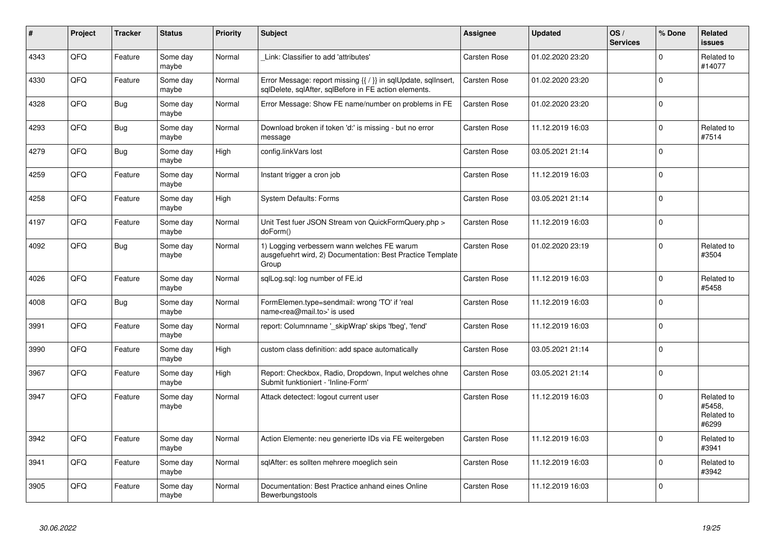| #    | Project | <b>Tracker</b> | <b>Status</b>     | <b>Priority</b> | <b>Subject</b>                                                                                                          | <b>Assignee</b>     | <b>Updated</b>   | OS/<br><b>Services</b> | % Done      | Related<br>issues                           |
|------|---------|----------------|-------------------|-----------------|-------------------------------------------------------------------------------------------------------------------------|---------------------|------------------|------------------------|-------------|---------------------------------------------|
| 4343 | QFQ     | Feature        | Some day<br>maybe | Normal          | Link: Classifier to add 'attributes'                                                                                    | <b>Carsten Rose</b> | 01.02.2020 23:20 |                        | $\Omega$    | Related to<br>#14077                        |
| 4330 | QFQ     | Feature        | Some day<br>maybe | Normal          | Error Message: report missing {{ / }} in sqlUpdate, sqlInsert,<br>sqlDelete, sqlAfter, sqlBefore in FE action elements. | <b>Carsten Rose</b> | 01.02.2020 23:20 |                        | $\Omega$    |                                             |
| 4328 | QFQ     | <b>Bug</b>     | Some day<br>maybe | Normal          | Error Message: Show FE name/number on problems in FE                                                                    | Carsten Rose        | 01.02.2020 23:20 |                        | $\Omega$    |                                             |
| 4293 | QFQ     | <b>Bug</b>     | Some day<br>maybe | Normal          | Download broken if token 'd:' is missing - but no error<br>message                                                      | Carsten Rose        | 11.12.2019 16:03 |                        | $\Omega$    | Related to<br>#7514                         |
| 4279 | QFQ     | Bug            | Some day<br>maybe | High            | config.linkVars lost                                                                                                    | <b>Carsten Rose</b> | 03.05.2021 21:14 |                        | $\Omega$    |                                             |
| 4259 | QFQ     | Feature        | Some day<br>maybe | Normal          | Instant trigger a cron job                                                                                              | Carsten Rose        | 11.12.2019 16:03 |                        | $\mathbf 0$ |                                             |
| 4258 | QFQ     | Feature        | Some day<br>maybe | High            | <b>System Defaults: Forms</b>                                                                                           | <b>Carsten Rose</b> | 03.05.2021 21:14 |                        | $\Omega$    |                                             |
| 4197 | QFQ     | Feature        | Some day<br>maybe | Normal          | Unit Test fuer JSON Stream von QuickFormQuery.php ><br>doForm()                                                         | <b>Carsten Rose</b> | 11.12.2019 16:03 |                        | $\Omega$    |                                             |
| 4092 | QFQ     | Bug            | Some day<br>maybe | Normal          | 1) Logging verbessern wann welches FE warum<br>ausgefuehrt wird, 2) Documentation: Best Practice Template<br>Group      | <b>Carsten Rose</b> | 01.02.2020 23:19 |                        | $\Omega$    | Related to<br>#3504                         |
| 4026 | QFQ     | Feature        | Some day<br>maybe | Normal          | sqlLog.sql: log number of FE.id                                                                                         | <b>Carsten Rose</b> | 11.12.2019 16:03 |                        | $\mathbf 0$ | Related to<br>#5458                         |
| 4008 | QFQ     | Bug            | Some day<br>maybe | Normal          | FormElemen.type=sendmail: wrong 'TO' if 'real<br>name <rea@mail.to>' is used</rea@mail.to>                              | <b>Carsten Rose</b> | 11.12.2019 16:03 |                        | $\mathbf 0$ |                                             |
| 3991 | QFQ     | Feature        | Some day<br>maybe | Normal          | report: Columnname ' skipWrap' skips 'fbeg', 'fend'                                                                     | <b>Carsten Rose</b> | 11.12.2019 16:03 |                        | $\Omega$    |                                             |
| 3990 | QFQ     | Feature        | Some day<br>maybe | High            | custom class definition: add space automatically                                                                        | <b>Carsten Rose</b> | 03.05.2021 21:14 |                        | $\Omega$    |                                             |
| 3967 | QFQ     | Feature        | Some day<br>maybe | High            | Report: Checkbox, Radio, Dropdown, Input welches ohne<br>Submit funktioniert - 'Inline-Form'                            | <b>Carsten Rose</b> | 03.05.2021 21:14 |                        | $\Omega$    |                                             |
| 3947 | QFQ     | Feature        | Some day<br>maybe | Normal          | Attack detectect: logout current user                                                                                   | <b>Carsten Rose</b> | 11.12.2019 16:03 |                        | $\mathbf 0$ | Related to<br>#5458.<br>Related to<br>#6299 |
| 3942 | QFQ     | Feature        | Some day<br>maybe | Normal          | Action Elemente: neu generierte IDs via FE weitergeben                                                                  | Carsten Rose        | 11.12.2019 16:03 |                        | $\Omega$    | Related to<br>#3941                         |
| 3941 | QFQ     | Feature        | Some day<br>maybe | Normal          | sqlAfter: es sollten mehrere moeglich sein                                                                              | <b>Carsten Rose</b> | 11.12.2019 16:03 |                        | $\mathbf 0$ | Related to<br>#3942                         |
| 3905 | QFQ     | Feature        | Some day<br>maybe | Normal          | Documentation: Best Practice anhand eines Online<br>Bewerbungstools                                                     | Carsten Rose        | 11.12.2019 16:03 |                        | $\mathbf 0$ |                                             |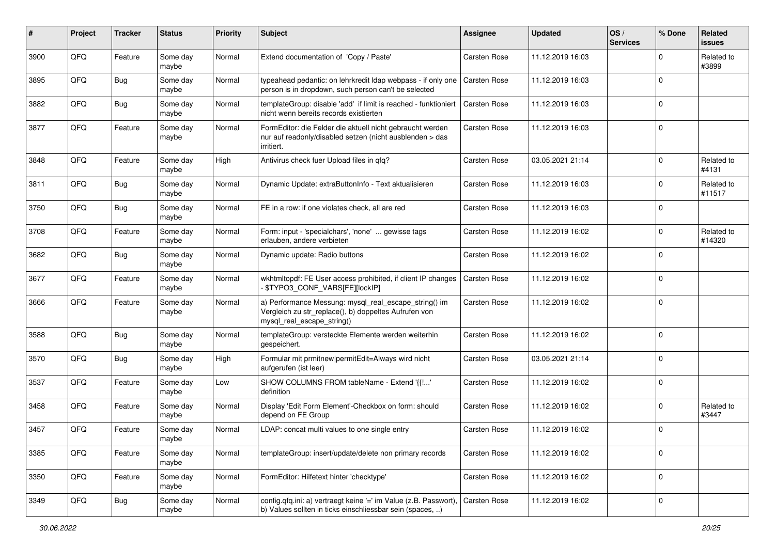| #    | Project | <b>Tracker</b> | <b>Status</b>     | <b>Priority</b> | <b>Subject</b>                                                                                                                               | <b>Assignee</b>     | <b>Updated</b>   | OS/<br><b>Services</b> | % Done      | Related<br><b>issues</b> |
|------|---------|----------------|-------------------|-----------------|----------------------------------------------------------------------------------------------------------------------------------------------|---------------------|------------------|------------------------|-------------|--------------------------|
| 3900 | QFQ     | Feature        | Some day<br>maybe | Normal          | Extend documentation of 'Copy / Paste'                                                                                                       | Carsten Rose        | 11.12.2019 16:03 |                        | $\Omega$    | Related to<br>#3899      |
| 3895 | QFQ     | Bug            | Some day<br>maybe | Normal          | typeahead pedantic: on lehrkredit Idap webpass - if only one<br>person is in dropdown, such person can't be selected                         | Carsten Rose        | 11.12.2019 16:03 |                        | $\Omega$    |                          |
| 3882 | QFQ     | <b>Bug</b>     | Some day<br>maybe | Normal          | templateGroup: disable 'add' if limit is reached - funktioniert<br>nicht wenn bereits records existierten                                    | Carsten Rose        | 11.12.2019 16:03 |                        | $\Omega$    |                          |
| 3877 | QFQ     | Feature        | Some day<br>maybe | Normal          | FormEditor: die Felder die aktuell nicht gebraucht werden<br>nur auf readonly/disabled setzen (nicht ausblenden > das<br>irritiert.          | Carsten Rose        | 11.12.2019 16:03 |                        | $\Omega$    |                          |
| 3848 | QFQ     | Feature        | Some day<br>maybe | High            | Antivirus check fuer Upload files in qfq?                                                                                                    | Carsten Rose        | 03.05.2021 21:14 |                        | $\Omega$    | Related to<br>#4131      |
| 3811 | QFQ     | <b>Bug</b>     | Some day<br>maybe | Normal          | Dynamic Update: extraButtonInfo - Text aktualisieren                                                                                         | Carsten Rose        | 11.12.2019 16:03 |                        | $\Omega$    | Related to<br>#11517     |
| 3750 | QFQ     | <b>Bug</b>     | Some day<br>maybe | Normal          | FE in a row: if one violates check, all are red                                                                                              | Carsten Rose        | 11.12.2019 16:03 |                        | $\Omega$    |                          |
| 3708 | QFQ     | Feature        | Some day<br>maybe | Normal          | Form: input - 'specialchars', 'none'  gewisse tags<br>erlauben, andere verbieten                                                             | Carsten Rose        | 11.12.2019 16:02 |                        | $\Omega$    | Related to<br>#14320     |
| 3682 | QFQ     | <b>Bug</b>     | Some day<br>maybe | Normal          | Dynamic update: Radio buttons                                                                                                                | <b>Carsten Rose</b> | 11.12.2019 16:02 |                        | $\Omega$    |                          |
| 3677 | QFQ     | Feature        | Some day<br>maybe | Normal          | wkhtmltopdf: FE User access prohibited, if client IP changes<br>\$TYPO3_CONF_VARS[FE][lockIP]                                                | Carsten Rose        | 11.12.2019 16:02 |                        | $\mathbf 0$ |                          |
| 3666 | QFQ     | Feature        | Some day<br>maybe | Normal          | a) Performance Messung: mysql_real_escape_string() im<br>Vergleich zu str_replace(), b) doppeltes Aufrufen von<br>mysql_real_escape_string() | Carsten Rose        | 11.12.2019 16:02 |                        | $\Omega$    |                          |
| 3588 | QFQ     | Bug            | Some day<br>maybe | Normal          | templateGroup: versteckte Elemente werden weiterhin<br>gespeichert.                                                                          | <b>Carsten Rose</b> | 11.12.2019 16:02 |                        | $\Omega$    |                          |
| 3570 | QFQ     | Bug            | Some day<br>maybe | High            | Formular mit prmitnew   permitEdit=Always wird nicht<br>aufgerufen (ist leer)                                                                | Carsten Rose        | 03.05.2021 21:14 |                        | $\Omega$    |                          |
| 3537 | QFQ     | Feature        | Some day<br>maybe | Low             | SHOW COLUMNS FROM tableName - Extend '{{!'<br>definition                                                                                     | Carsten Rose        | 11.12.2019 16:02 |                        | $\Omega$    |                          |
| 3458 | QFQ     | Feature        | Some day<br>maybe | Normal          | Display 'Edit Form Element'-Checkbox on form: should<br>depend on FE Group                                                                   | <b>Carsten Rose</b> | 11.12.2019 16:02 |                        | $\Omega$    | Related to<br>#3447      |
| 3457 | QFQ     | Feature        | Some day<br>maybe | Normal          | LDAP: concat multi values to one single entry                                                                                                | Carsten Rose        | 11.12.2019 16:02 |                        | $\Omega$    |                          |
| 3385 | QFQ     | Feature        | Some day<br>maybe | Normal          | templateGroup: insert/update/delete non primary records                                                                                      | Carsten Rose        | 11.12.2019 16:02 |                        | $\Omega$    |                          |
| 3350 | QFQ     | Feature        | Some day<br>maybe | Normal          | FormEditor: Hilfetext hinter 'checktype'                                                                                                     | Carsten Rose        | 11.12.2019 16:02 |                        | $\mathbf 0$ |                          |
| 3349 | QFQ     | <b>Bug</b>     | Some day<br>maybe | Normal          | config.qfq.ini: a) vertraegt keine '=' im Value (z.B. Passwort),<br>b) Values sollten in ticks einschliessbar sein (spaces, )                | Carsten Rose        | 11.12.2019 16:02 |                        | $\mathbf 0$ |                          |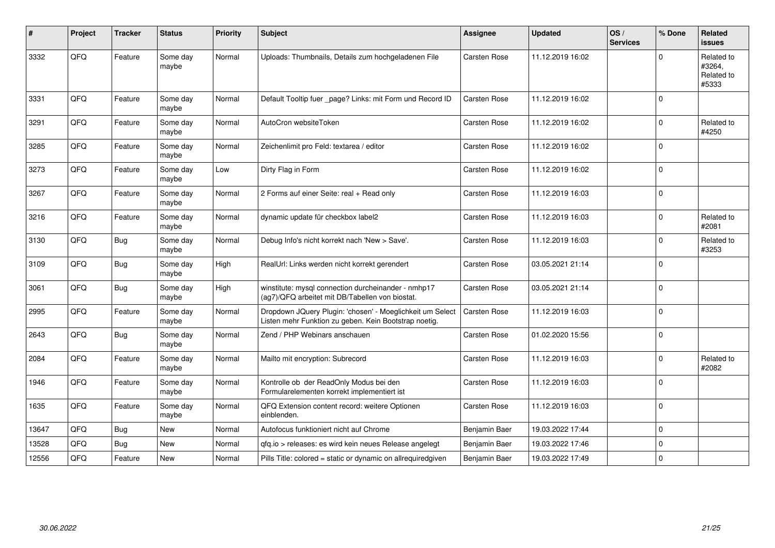| $\sharp$ | Project | <b>Tracker</b> | <b>Status</b>     | <b>Priority</b> | <b>Subject</b>                                                                                                     | <b>Assignee</b>     | <b>Updated</b>   | OS/<br><b>Services</b> | % Done      | <b>Related</b><br>issues                    |
|----------|---------|----------------|-------------------|-----------------|--------------------------------------------------------------------------------------------------------------------|---------------------|------------------|------------------------|-------------|---------------------------------------------|
| 3332     | QFQ     | Feature        | Some day<br>maybe | Normal          | Uploads: Thumbnails, Details zum hochgeladenen File                                                                | <b>Carsten Rose</b> | 11.12.2019 16:02 |                        | $\Omega$    | Related to<br>#3264,<br>Related to<br>#5333 |
| 3331     | QFQ     | Feature        | Some day<br>maybe | Normal          | Default Tooltip fuer _page? Links: mit Form und Record ID                                                          | <b>Carsten Rose</b> | 11.12.2019 16:02 |                        | $\Omega$    |                                             |
| 3291     | QFQ     | Feature        | Some day<br>maybe | Normal          | AutoCron websiteToken                                                                                              | <b>Carsten Rose</b> | 11.12.2019 16:02 |                        | $\mathbf 0$ | Related to<br>#4250                         |
| 3285     | QFQ     | Feature        | Some day<br>maybe | Normal          | Zeichenlimit pro Feld: textarea / editor                                                                           | <b>Carsten Rose</b> | 11.12.2019 16:02 |                        | $\Omega$    |                                             |
| 3273     | QFQ     | Feature        | Some day<br>maybe | Low             | Dirty Flag in Form                                                                                                 | <b>Carsten Rose</b> | 11.12.2019 16:02 |                        | $\Omega$    |                                             |
| 3267     | QFQ     | Feature        | Some day<br>maybe | Normal          | 2 Forms auf einer Seite: real + Read only                                                                          | <b>Carsten Rose</b> | 11.12.2019 16:03 |                        | $\Omega$    |                                             |
| 3216     | QFQ     | Feature        | Some day<br>maybe | Normal          | dynamic update für checkbox label2                                                                                 | <b>Carsten Rose</b> | 11.12.2019 16:03 |                        | $\mathbf 0$ | Related to<br>#2081                         |
| 3130     | QFG     | <b>Bug</b>     | Some day<br>maybe | Normal          | Debug Info's nicht korrekt nach 'New > Save'.                                                                      | Carsten Rose        | 11.12.2019 16:03 |                        | $\Omega$    | Related to<br>#3253                         |
| 3109     | QFQ     | Bug            | Some day<br>maybe | High            | RealUrl: Links werden nicht korrekt gerendert                                                                      | <b>Carsten Rose</b> | 03.05.2021 21:14 |                        | $\mathbf 0$ |                                             |
| 3061     | QFQ     | <b>Bug</b>     | Some day<br>maybe | High            | winstitute: mysql connection durcheinander - nmhp17<br>(ag7)/QFQ arbeitet mit DB/Tabellen von biostat.             | <b>Carsten Rose</b> | 03.05.2021 21:14 |                        | $\Omega$    |                                             |
| 2995     | QFQ     | Feature        | Some day<br>maybe | Normal          | Dropdown JQuery Plugin: 'chosen' - Moeglichkeit um Select<br>Listen mehr Funktion zu geben. Kein Bootstrap noetig. | <b>Carsten Rose</b> | 11.12.2019 16:03 |                        | $\Omega$    |                                             |
| 2643     | QFQ     | Bug            | Some day<br>maybe | Normal          | Zend / PHP Webinars anschauen                                                                                      | <b>Carsten Rose</b> | 01.02.2020 15:56 |                        | $\mathbf 0$ |                                             |
| 2084     | QFQ     | Feature        | Some day<br>maybe | Normal          | Mailto mit encryption: Subrecord                                                                                   | <b>Carsten Rose</b> | 11.12.2019 16:03 |                        | $\mathbf 0$ | Related to<br>#2082                         |
| 1946     | QFQ     | Feature        | Some day<br>maybe | Normal          | Kontrolle ob der ReadOnly Modus bei den<br>Formularelementen korrekt implementiert ist                             | <b>Carsten Rose</b> | 11.12.2019 16:03 |                        | $\Omega$    |                                             |
| 1635     | QFQ     | Feature        | Some day<br>maybe | Normal          | QFQ Extension content record: weitere Optionen<br>einblenden.                                                      | <b>Carsten Rose</b> | 11.12.2019 16:03 |                        | $\mathbf 0$ |                                             |
| 13647    | QFQ     | Bug            | <b>New</b>        | Normal          | Autofocus funktioniert nicht auf Chrome                                                                            | Benjamin Baer       | 19.03.2022 17:44 |                        | $\Omega$    |                                             |
| 13528    | QFQ     | Bug            | <b>New</b>        | Normal          | qfq.io > releases: es wird kein neues Release angelegt                                                             | Benjamin Baer       | 19.03.2022 17:46 |                        | $\mathbf 0$ |                                             |
| 12556    | QFQ     | Feature        | New               | Normal          | Pills Title: colored = static or dynamic on allrequiredgiven                                                       | Benjamin Baer       | 19.03.2022 17:49 |                        | $\Omega$    |                                             |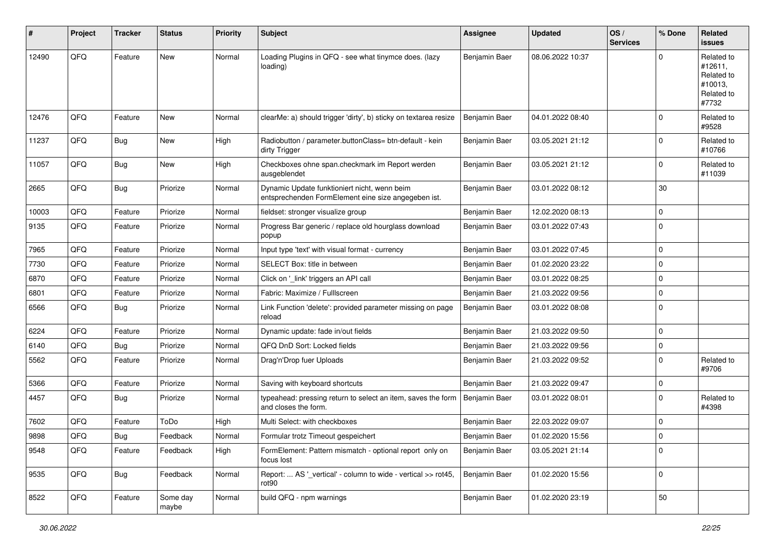| #     | Project | <b>Tracker</b> | <b>Status</b>     | <b>Priority</b> | <b>Subject</b>                                                                                      | <b>Assignee</b> | <b>Updated</b>   | OS/<br><b>Services</b> | % Done      | <b>Related</b><br>issues                                              |
|-------|---------|----------------|-------------------|-----------------|-----------------------------------------------------------------------------------------------------|-----------------|------------------|------------------------|-------------|-----------------------------------------------------------------------|
| 12490 | QFQ     | Feature        | <b>New</b>        | Normal          | Loading Plugins in QFQ - see what tinymce does. (lazy<br>loading)                                   | Benjamin Baer   | 08.06.2022 10:37 |                        | $\Omega$    | Related to<br>#12611.<br>Related to<br>#10013,<br>Related to<br>#7732 |
| 12476 | QFQ     | Feature        | New               | Normal          | clearMe: a) should trigger 'dirty', b) sticky on textarea resize                                    | Benjamin Baer   | 04.01.2022 08:40 |                        | $\mathbf 0$ | Related to<br>#9528                                                   |
| 11237 | QFQ     | <b>Bug</b>     | New               | High            | Radiobutton / parameter.buttonClass= btn-default - kein<br>dirty Trigger                            | Benjamin Baer   | 03.05.2021 21:12 |                        | $\Omega$    | Related to<br>#10766                                                  |
| 11057 | QFQ     | <b>Bug</b>     | New               | High            | Checkboxes ohne span.checkmark im Report werden<br>ausgeblendet                                     | Benjamin Baer   | 03.05.2021 21:12 |                        | $\mathbf 0$ | Related to<br>#11039                                                  |
| 2665  | QFQ     | Bug            | Priorize          | Normal          | Dynamic Update funktioniert nicht, wenn beim<br>entsprechenden FormElement eine size angegeben ist. | Benjamin Baer   | 03.01.2022 08:12 |                        | 30          |                                                                       |
| 10003 | QFQ     | Feature        | Priorize          | Normal          | fieldset: stronger visualize group                                                                  | Benjamin Baer   | 12.02.2020 08:13 |                        | $\mathbf 0$ |                                                                       |
| 9135  | QFQ     | Feature        | Priorize          | Normal          | Progress Bar generic / replace old hourglass download<br>popup                                      | Benjamin Baer   | 03.01.2022 07:43 |                        | $\mathbf 0$ |                                                                       |
| 7965  | QFQ     | Feature        | Priorize          | Normal          | Input type 'text' with visual format - currency                                                     | Benjamin Baer   | 03.01.2022 07:45 |                        | $\mathbf 0$ |                                                                       |
| 7730  | QFQ     | Feature        | Priorize          | Normal          | SELECT Box: title in between                                                                        | Benjamin Baer   | 01.02.2020 23:22 |                        | $\mathbf 0$ |                                                                       |
| 6870  | QFQ     | Feature        | Priorize          | Normal          | Click on '_link' triggers an API call                                                               | Benjamin Baer   | 03.01.2022 08:25 |                        | $\mathbf 0$ |                                                                       |
| 6801  | QFQ     | Feature        | Priorize          | Normal          | Fabric: Maximize / FullIscreen                                                                      | Benjamin Baer   | 21.03.2022 09:56 |                        | $\mathbf 0$ |                                                                       |
| 6566  | QFQ     | <b>Bug</b>     | Priorize          | Normal          | Link Function 'delete': provided parameter missing on page<br>reload                                | Benjamin Baer   | 03.01.2022 08:08 |                        | $\mathbf 0$ |                                                                       |
| 6224  | QFQ     | Feature        | Priorize          | Normal          | Dynamic update: fade in/out fields                                                                  | Benjamin Baer   | 21.03.2022 09:50 |                        | $\mathbf 0$ |                                                                       |
| 6140  | QFQ     | <b>Bug</b>     | Priorize          | Normal          | QFQ DnD Sort: Locked fields                                                                         | Benjamin Baer   | 21.03.2022 09:56 |                        | $\mathbf 0$ |                                                                       |
| 5562  | QFQ     | Feature        | Priorize          | Normal          | Drag'n'Drop fuer Uploads                                                                            | Benjamin Baer   | 21.03.2022 09:52 |                        | $\mathbf 0$ | Related to<br>#9706                                                   |
| 5366  | QFQ     | Feature        | Priorize          | Normal          | Saving with keyboard shortcuts                                                                      | Benjamin Baer   | 21.03.2022 09:47 |                        | $\mathbf 0$ |                                                                       |
| 4457  | QFQ     | <b>Bug</b>     | Priorize          | Normal          | typeahead: pressing return to select an item, saves the form<br>and closes the form.                | Benjamin Baer   | 03.01.2022 08:01 |                        | $\mathbf 0$ | Related to<br>#4398                                                   |
| 7602  | QFQ     | Feature        | ToDo              | High            | Multi Select: with checkboxes                                                                       | Benjamin Baer   | 22.03.2022 09:07 |                        | 0           |                                                                       |
| 9898  | QFQ     | Bug            | Feedback          | Normal          | Formular trotz Timeout gespeichert                                                                  | Benjamin Baer   | 01.02.2020 15:56 |                        | $\Omega$    |                                                                       |
| 9548  | QFQ     | Feature        | Feedback          | High            | FormElement: Pattern mismatch - optional report only on<br>focus lost                               | Benjamin Baer   | 03.05.2021 21:14 |                        | $\mathbf 0$ |                                                                       |
| 9535  | QFQ     | <b>Bug</b>     | Feedback          | Normal          | Report:  AS ' vertical' - column to wide - vertical >> rot45,<br>rot <sub>90</sub>                  | Benjamin Baer   | 01.02.2020 15:56 |                        | 0           |                                                                       |
| 8522  | QFQ     | Feature        | Some day<br>maybe | Normal          | build QFQ - npm warnings                                                                            | Benjamin Baer   | 01.02.2020 23:19 |                        | 50          |                                                                       |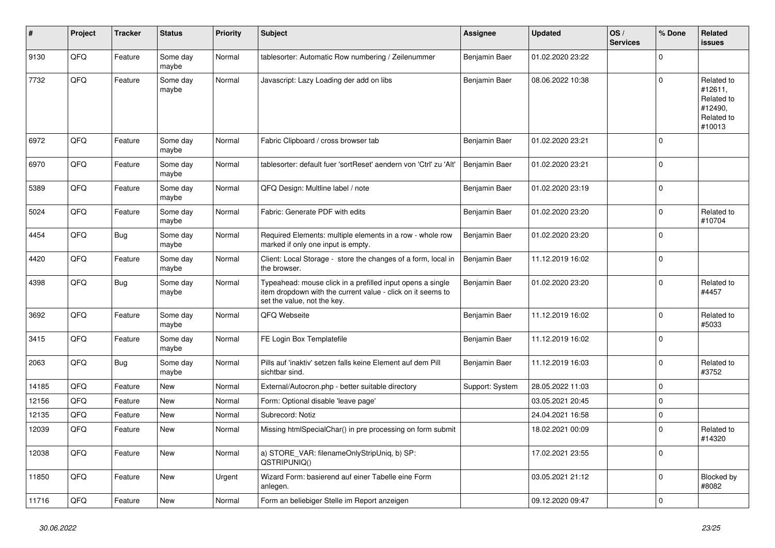| ∦     | Project | <b>Tracker</b> | <b>Status</b>     | <b>Priority</b> | <b>Subject</b>                                                                                                                                           | <b>Assignee</b> | <b>Updated</b>   | OS/<br><b>Services</b> | % Done      | Related<br><b>issues</b>                                               |
|-------|---------|----------------|-------------------|-----------------|----------------------------------------------------------------------------------------------------------------------------------------------------------|-----------------|------------------|------------------------|-------------|------------------------------------------------------------------------|
| 9130  | QFQ     | Feature        | Some day<br>maybe | Normal          | tablesorter: Automatic Row numbering / Zeilenummer                                                                                                       | Benjamin Baer   | 01.02.2020 23:22 |                        | $\Omega$    |                                                                        |
| 7732  | QFQ     | Feature        | Some day<br>maybe | Normal          | Javascript: Lazy Loading der add on libs                                                                                                                 | Benjamin Baer   | 08.06.2022 10:38 |                        | $\Omega$    | Related to<br>#12611.<br>Related to<br>#12490,<br>Related to<br>#10013 |
| 6972  | QFQ     | Feature        | Some day<br>maybe | Normal          | Fabric Clipboard / cross browser tab                                                                                                                     | Benjamin Baer   | 01.02.2020 23:21 |                        | $\Omega$    |                                                                        |
| 6970  | QFQ     | Feature        | Some day<br>maybe | Normal          | tablesorter: default fuer 'sortReset' aendern von 'Ctrl' zu 'Alt'                                                                                        | Benjamin Baer   | 01.02.2020 23:21 |                        | $\mathbf 0$ |                                                                        |
| 5389  | QFQ     | Feature        | Some day<br>maybe | Normal          | QFQ Design: Multline label / note                                                                                                                        | Benjamin Baer   | 01.02.2020 23:19 |                        | $\Omega$    |                                                                        |
| 5024  | QFQ     | Feature        | Some day<br>maybe | Normal          | Fabric: Generate PDF with edits                                                                                                                          | Benjamin Baer   | 01.02.2020 23:20 |                        | $\Omega$    | Related to<br>#10704                                                   |
| 4454  | QFQ     | <b>Bug</b>     | Some day<br>maybe | Normal          | Required Elements: multiple elements in a row - whole row<br>marked if only one input is empty.                                                          | Benjamin Baer   | 01.02.2020 23:20 |                        | $\mathbf 0$ |                                                                        |
| 4420  | QFQ     | Feature        | Some day<br>maybe | Normal          | Client: Local Storage - store the changes of a form, local in<br>the browser.                                                                            | Benjamin Baer   | 11.12.2019 16:02 |                        | $\Omega$    |                                                                        |
| 4398  | QFQ     | <b>Bug</b>     | Some day<br>maybe | Normal          | Typeahead: mouse click in a prefilled input opens a single<br>item dropdown with the current value - click on it seems to<br>set the value, not the key. | Benjamin Baer   | 01.02.2020 23:20 |                        | $\mathbf 0$ | Related to<br>#4457                                                    |
| 3692  | QFQ     | Feature        | Some day<br>maybe | Normal          | QFQ Webseite                                                                                                                                             | Benjamin Baer   | 11.12.2019 16:02 |                        | $\Omega$    | Related to<br>#5033                                                    |
| 3415  | QFQ     | Feature        | Some day<br>maybe | Normal          | FE Login Box Templatefile                                                                                                                                | Benjamin Baer   | 11.12.2019 16:02 |                        | $\Omega$    |                                                                        |
| 2063  | QFQ     | <b>Bug</b>     | Some day<br>maybe | Normal          | Pills auf 'inaktiv' setzen falls keine Element auf dem Pill<br>sichtbar sind.                                                                            | Benjamin Baer   | 11.12.2019 16:03 |                        | $\mathbf 0$ | Related to<br>#3752                                                    |
| 14185 | QFQ     | Feature        | <b>New</b>        | Normal          | External/Autocron.php - better suitable directory                                                                                                        | Support: System | 28.05.2022 11:03 |                        | $\Omega$    |                                                                        |
| 12156 | QFQ     | Feature        | <b>New</b>        | Normal          | Form: Optional disable 'leave page'                                                                                                                      |                 | 03.05.2021 20:45 |                        | $\Omega$    |                                                                        |
| 12135 | QFQ     | Feature        | <b>New</b>        | Normal          | Subrecord: Notiz                                                                                                                                         |                 | 24.04.2021 16:58 |                        | $\mathbf 0$ |                                                                        |
| 12039 | QFQ     | Feature        | <b>New</b>        | Normal          | Missing htmlSpecialChar() in pre processing on form submit                                                                                               |                 | 18.02.2021 00:09 |                        | $\Omega$    | Related to<br>#14320                                                   |
| 12038 | QFQ     | Feature        | <b>New</b>        | Normal          | a) STORE VAR: filenameOnlyStripUniq, b) SP:<br>QSTRIPUNIQ()                                                                                              |                 | 17.02.2021 23:55 |                        | $\Omega$    |                                                                        |
| 11850 | QFQ     | Feature        | <b>New</b>        | Urgent          | Wizard Form: basierend auf einer Tabelle eine Form<br>anlegen.                                                                                           |                 | 03.05.2021 21:12 |                        | $\mathbf 0$ | Blocked by<br>#8082                                                    |
| 11716 | QFQ     | Feature        | <b>New</b>        | Normal          | Form an beliebiger Stelle im Report anzeigen                                                                                                             |                 | 09.12.2020 09:47 |                        | $\Omega$    |                                                                        |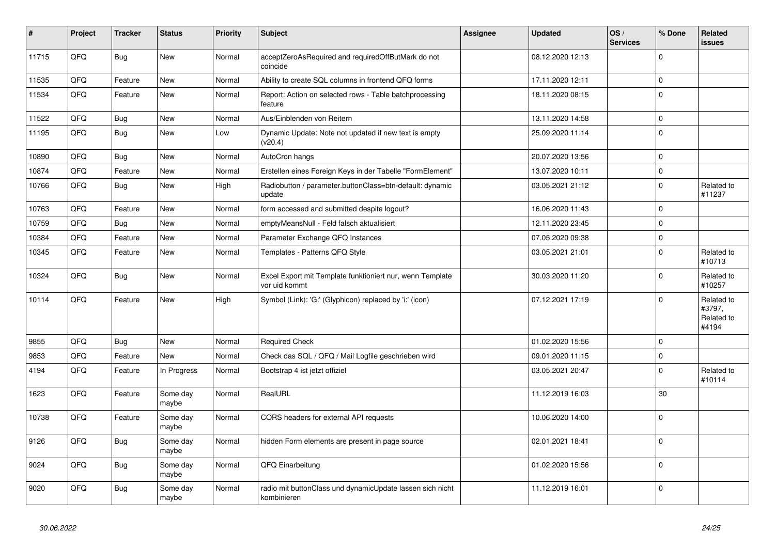| $\vert$ # | Project | <b>Tracker</b> | <b>Status</b>     | <b>Priority</b> | <b>Subject</b>                                                             | <b>Assignee</b> | <b>Updated</b>   | OS/<br><b>Services</b> | % Done      | <b>Related</b><br><b>issues</b>             |
|-----------|---------|----------------|-------------------|-----------------|----------------------------------------------------------------------------|-----------------|------------------|------------------------|-------------|---------------------------------------------|
| 11715     | QFQ     | <b>Bug</b>     | <b>New</b>        | Normal          | acceptZeroAsRequired and requiredOffButMark do not<br>coincide             |                 | 08.12.2020 12:13 |                        | $\Omega$    |                                             |
| 11535     | QFQ     | Feature        | <b>New</b>        | Normal          | Ability to create SQL columns in frontend QFQ forms                        |                 | 17.11.2020 12:11 |                        | $\mathbf 0$ |                                             |
| 11534     | QFQ     | Feature        | <b>New</b>        | Normal          | Report: Action on selected rows - Table batchprocessing<br>feature         |                 | 18.11.2020 08:15 |                        | $\mathbf 0$ |                                             |
| 11522     | QFQ     | Bug            | <b>New</b>        | Normal          | Aus/Einblenden von Reitern                                                 |                 | 13.11.2020 14:58 |                        | $\mathbf 0$ |                                             |
| 11195     | QFQ     | <b>Bug</b>     | <b>New</b>        | Low             | Dynamic Update: Note not updated if new text is empty<br>(v20.4)           |                 | 25.09.2020 11:14 |                        | $\mathbf 0$ |                                             |
| 10890     | QFQ     | Bug            | <b>New</b>        | Normal          | AutoCron hangs                                                             |                 | 20.07.2020 13:56 |                        | $\pmb{0}$   |                                             |
| 10874     | QFQ     | Feature        | <b>New</b>        | Normal          | Erstellen eines Foreign Keys in der Tabelle "FormElement"                  |                 | 13.07.2020 10:11 |                        | $\mathbf 0$ |                                             |
| 10766     | QFQ     | Bug            | <b>New</b>        | High            | Radiobutton / parameter.buttonClass=btn-default: dynamic<br>update         |                 | 03.05.2021 21:12 |                        | $\mathbf 0$ | Related to<br>#11237                        |
| 10763     | QFQ     | Feature        | <b>New</b>        | Normal          | form accessed and submitted despite logout?                                |                 | 16.06.2020 11:43 |                        | $\mathbf 0$ |                                             |
| 10759     | QFQ     | <b>Bug</b>     | <b>New</b>        | Normal          | emptyMeansNull - Feld falsch aktualisiert                                  |                 | 12.11.2020 23:45 |                        | $\Omega$    |                                             |
| 10384     | QFQ     | Feature        | New               | Normal          | Parameter Exchange QFQ Instances                                           |                 | 07.05.2020 09:38 |                        | $\mathbf 0$ |                                             |
| 10345     | QFQ     | Feature        | New               | Normal          | Templates - Patterns QFQ Style                                             |                 | 03.05.2021 21:01 |                        | $\mathbf 0$ | Related to<br>#10713                        |
| 10324     | QFQ     | Bug            | <b>New</b>        | Normal          | Excel Export mit Template funktioniert nur, wenn Template<br>vor uid kommt |                 | 30.03.2020 11:20 |                        | $\Omega$    | Related to<br>#10257                        |
| 10114     | QFQ     | Feature        | <b>New</b>        | High            | Symbol (Link): 'G:' (Glyphicon) replaced by 'i:' (icon)                    |                 | 07.12.2021 17:19 |                        | $\Omega$    | Related to<br>#3797,<br>Related to<br>#4194 |
| 9855      | QFQ     | Bug            | <b>New</b>        | Normal          | <b>Required Check</b>                                                      |                 | 01.02.2020 15:56 |                        | $\mathbf 0$ |                                             |
| 9853      | QFQ     | Feature        | <b>New</b>        | Normal          | Check das SQL / QFQ / Mail Logfile geschrieben wird                        |                 | 09.01.2020 11:15 |                        | $\mathbf 0$ |                                             |
| 4194      | QFQ     | Feature        | In Progress       | Normal          | Bootstrap 4 ist jetzt offiziel                                             |                 | 03.05.2021 20:47 |                        | $\Omega$    | Related to<br>#10114                        |
| 1623      | QFQ     | Feature        | Some day<br>maybe | Normal          | RealURL                                                                    |                 | 11.12.2019 16:03 |                        | 30          |                                             |
| 10738     | QFQ     | Feature        | Some day<br>maybe | Normal          | CORS headers for external API requests                                     |                 | 10.06.2020 14:00 |                        | $\Omega$    |                                             |
| 9126      | QFQ     | <b>Bug</b>     | Some day<br>maybe | Normal          | hidden Form elements are present in page source                            |                 | 02.01.2021 18:41 |                        | $\mathbf 0$ |                                             |
| 9024      | QFQ     | <b>Bug</b>     | Some day<br>maybe | Normal          | QFQ Einarbeitung                                                           |                 | 01.02.2020 15:56 |                        | $\mathbf 0$ |                                             |
| 9020      | QFQ     | Bug            | Some day<br>maybe | Normal          | radio mit buttonClass und dynamicUpdate lassen sich nicht<br>kombinieren   |                 | 11.12.2019 16:01 |                        | $\mathbf 0$ |                                             |